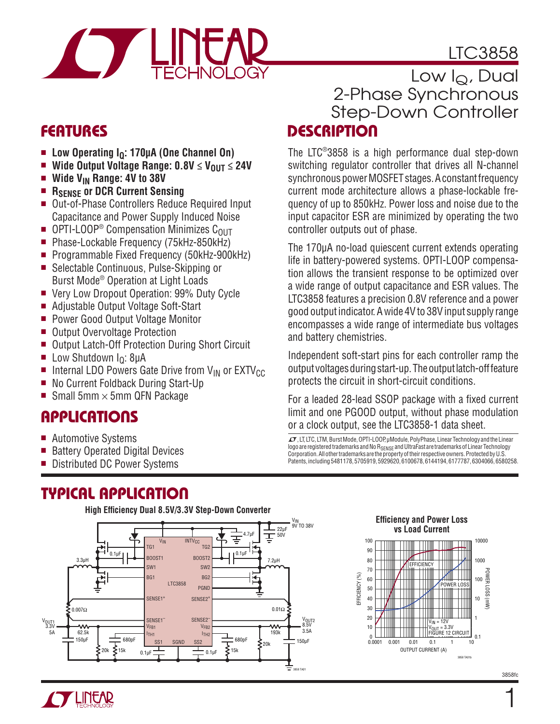# LTC3858



# **FEATURES**

- **n** Low Operating I<sub>Q</sub>: 170μA (One Channel On)<br>**Notation Continut Voltage Range: 0.8V < V<sub>OUT</sub> <**
- Wide Output Voltage Range:  $0.8V \leq V_{OUT} \leq 24V$
- Wide V<sub>IN</sub> Range: 4V to 38V<br>■ Rsense or DCR Current Sen
- **RSENSE OF DCR Current Sensing**
- Out-of-Phase Controllers Reduce Required Input Capacitance and Power Supply Induced Noise
- **OPTI-LOOP<sup>®</sup> Compensation Minimizes C<sub>OUT</sub><br>Phase-Lockable Frequency (75kHz-850kHz)**
- Phase-Lockable Frequency (75kHz-850kHz)
- Programmable Fixed Frequency (50kHz-900kHz)
- Selectable Continuous, Pulse-Skipping or Burst Mode® Operation at Light Loads
- Very Low Dropout Operation: 99% Duty Cycle
- Adjustable Output Voltage Soft-Start
- Power Good Output Voltage Monitor
- Output Overvoltage Protection
- Output Latch-Off Protection During Short Circuit
- **E** Low Shutdown  $I<sub>Q</sub>$ : 8μA
- Internal LDO Powers Gate Drive from V<sub>IN</sub> or EXTV<sub>CC</sub><br>■ No Current Foldback During Start-Up
- No Current Foldback During Start-Up
- Small 5mm  $\times$  5mm QFN Package

# **APPLICATIONS**

- Automotive Systems
- Battery Operated Digital Devices
- Distributed DC Power Systems

# **TYPICAL APPLICATION**



### **DESCRIPTION** Low  $I_Q$ , Dual 2-Phase Synchronous Step-Down Controller

The LTC®3858 is a high performance dual step-down switching regulator controller that drives all N-channel synchronous power MOSFET stages. A constant frequency current mode architecture allows a phase-lockable frequency of up to 850kHz. Power loss and noise due to the input capacitor ESR are minimized by operating the two controller outputs out of phase.

The 170μA no-load quiescent current extends operating life in battery-powered systems. OPTI-LOOP compensation allows the transient response to be optimized over a wide range of output capacitance and ESR values. The LTC3858 features a precision 0.8V reference and a power good output indicator. A wide 4V to 38V input supply range encompasses a wide range of intermediate bus voltages and battery chemistries.

Independent soft-start pins for each controller ramp the output voltages during start-up. The output latch-off feature protects the circuit in short-circuit conditions.

For a leaded 28-lead SSOP package with a fixed current limit and one PGOOD output, without phase modulation or a clock output, see the LTC3858-1 data sheet.

LT, LT, LTC, LTM, Burst Mode, OPTI-LOOP, μModule, PolyPhase, Linear Technology and the Linear logo are registered trademarks and No R<sub>SENSE</sub> and UltraFast are trademarks of Linear Technology Corporation. All other trademarks are the property of their respective owners. Protected by U.S. Patents, including 5481178, 5705919, 5929620, 6100678, 6144194, 6177787, 6304066, 6580258.



3858fc

1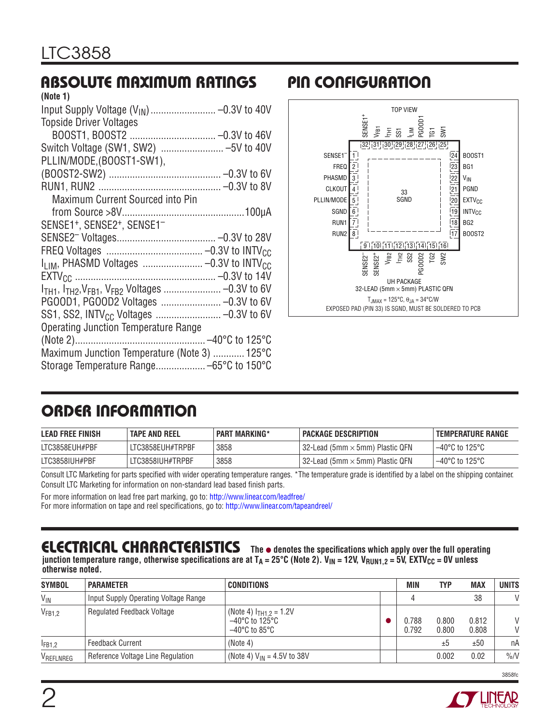# **ABSOLUTE MAXIMUM RATINGS PIN CONFIGURATION**

| (Note 1)                                                        |  |
|-----------------------------------------------------------------|--|
|                                                                 |  |
| <b>Topside Driver Voltages</b>                                  |  |
|                                                                 |  |
| Switch Voltage (SW1, SW2) -5V to 40V                            |  |
| PLLIN/MODE, (BOOST1-SW1),                                       |  |
|                                                                 |  |
|                                                                 |  |
| Maximum Current Sourced into Pin                                |  |
|                                                                 |  |
| SENSE1 <sup>+</sup> , SENSE2 <sup>+</sup> , SENSE1 <sup>-</sup> |  |
|                                                                 |  |
|                                                                 |  |
| I <sub>LIM</sub> , PHASMD Voltages  -0.3V to INTV <sub>CC</sub> |  |
|                                                                 |  |
|                                                                 |  |
|                                                                 |  |
|                                                                 |  |
| Operating Junction Temperature Range                            |  |
|                                                                 |  |
| Maximum Junction Temperature (Note 3)  125°C                    |  |
| Storage Temperature Range -65°C to 150°C                        |  |
|                                                                 |  |



# **ORDER INFORMATION**

| <b>LEAD FREE FINISH</b> | <b>TAPE AND REEL</b> | <b>PART MARKING*</b> | PACKAGE DESCRIPTION                           | <b>TEMPERATURE RANGE</b> |
|-------------------------|----------------------|----------------------|-----------------------------------------------|--------------------------|
| LTC3858EUH#PBF          | LTC3858EUH#TRPBF     | 3858                 | $\mid$ 32-Lead (5mm $\times$ 5mm) Plastic QFN | 1–40°C to 125°C          |
| LTC3858IUH#PBF          | LTC3858IUH#TRPBF     | 3858                 | 32-Lead (5mm $\times$ 5mm) Plastic QFN        | ⊢–40°C to 125°C          |

Consult LTC Marketing for parts specified with wider operating temperature ranges. \*The temperature grade is identified by a label on the shipping container. Consult LTC Marketing for information on non-standard lead based finish parts.

For more information on lead free part marking, go to: http://www.linear.com/leadfree/

For more information on tape and reel specifications, go to: http://www.linear.com/tapeandreel/

# **ELECTRICAL CHARACTERISTICS** The  $\bullet$  denotes the specifications which apply over the full operating

junction temperature range, otherwise specifications are at T<sub>A</sub> = 25°C (Note 2). V<sub>IN</sub> = 12V, V<sub>RUN1,2</sub> = 5V, EXTV<sub>CC</sub> = 0V unless **otherwise noted.**

| <b>SYMBOL</b>      | <b>PARAMETER</b>                     | <b>CONDITIONS</b>                                                     | MIN            | <b>TYP</b>     | <b>MAX</b>     | <b>UNITS</b>                 |
|--------------------|--------------------------------------|-----------------------------------------------------------------------|----------------|----------------|----------------|------------------------------|
| $V_{IN}$           | Input Supply Operating Voltage Range |                                                                       |                |                | 38             | $\mathcal{U}$                |
| V <sub>FB1,2</sub> | <b>Regulated Feedback Voltage</b>    | (Note 4) $ITH1.2 = 1.2V$<br>–40°C to 125°C<br>$-40^{\circ}$ C to 85°C | 0.788<br>0.792 | 0.800<br>0.800 | 0.812<br>0.808 | $\mathsf{V}$<br>$\mathsf{V}$ |
| IFB1,2             | <b>Feedback Current</b>              | (Note 4)                                                              |                | ±5             | ±50            | пA                           |
| VREFLNREG          | Reference Voltage Line Regulation    | (Note 4) $V_{IN} = 4.5V$ to 38V                                       |                | 0.002          | 0.02           | $\%N$                        |

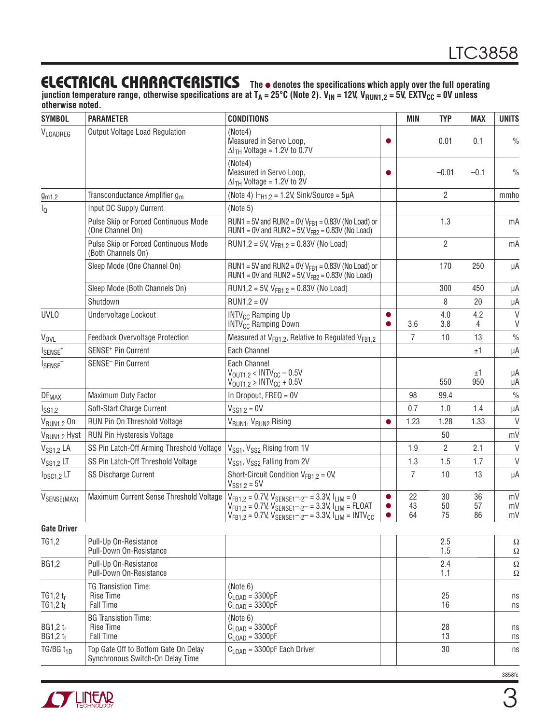### **ELECTRICAL CHARACTERISTICS** The  $\bullet$  denotes the specifications which apply over the full operating

junction temperature range, otherwise specifications are at T<sub>A</sub> = 25°C (Note 2). V<sub>IN</sub> = 12V, V<sub>RUN1,2</sub> = 5V, EXTV<sub>CC</sub> = 0V unless **otherwise noted.**

| <b>SYMBOL</b>                | <b>PARAMETER</b>                                                         | <b>CONDITIONS</b>                                                                                                                                                                                                       |                        | <b>MIN</b>     | <b>TYP</b>     | <b>MAX</b>     | <b>UNITS</b>     |
|------------------------------|--------------------------------------------------------------------------|-------------------------------------------------------------------------------------------------------------------------------------------------------------------------------------------------------------------------|------------------------|----------------|----------------|----------------|------------------|
| VLOADREG                     | Output Voltage Load Regulation                                           | (Note4)<br>Measured in Servo Loop,<br>$\Delta I$ <sub>TH</sub> Voltage = 1.2V to 0.7V                                                                                                                                   |                        |                | 0.01           | 0.1            | $\frac{0}{0}$    |
|                              |                                                                          | (Note4)<br>Measured in Servo Loop,<br>$\Delta I$ <sub>TH</sub> Voltage = 1.2V to 2V                                                                                                                                     | ●                      |                | $-0.01$        | $-0.1$         | $\frac{0}{0}$    |
| g <sub>m1,2</sub>            | Transconductance Amplifier g <sub>m</sub>                                | (Note 4) $I_{TH1,2} = 1.2V$ , Sink/Source = 5µA                                                                                                                                                                         |                        |                | $\overline{2}$ |                | mmho             |
| $I_{\mathbb{Q}}$             | Input DC Supply Current                                                  | (Note 5)                                                                                                                                                                                                                |                        |                |                |                |                  |
|                              | Pulse Skip or Forced Continuous Mode<br>(One Channel On)                 | RUN1 = 5V and RUN2 = 0V, $V_{FB1}$ = 0.83V (No Load) or<br>RUN1 = 0V and RUN2 = 5V, $V_{FB2}$ = 0.83V (No Load)                                                                                                         |                        |                | 1.3            |                | mA               |
|                              | Pulse Skip or Forced Continuous Mode<br>(Both Channels On)               | RUN1,2 = 5V, $V_{FB1.2}$ = 0.83V (No Load)                                                                                                                                                                              |                        |                | $\overline{2}$ |                | mA               |
|                              | Sleep Mode (One Channel On)                                              | RUN1 = 5V and RUN2 = 0V, $V_{FB1}$ = 0.83V (No Load) or<br>RUN1 = 0V and RUN2 = 5V, $V_{FB2}$ = 0.83V (No Load)                                                                                                         |                        |                | 170            | 250            | μA               |
|                              | Sleep Mode (Both Channels On)                                            | RUN1,2 = 5V, $V_{FB1.2}$ = 0.83V (No Load)                                                                                                                                                                              |                        |                | 300            | 450            | μA               |
|                              | Shutdown                                                                 | $RUN1,2 = OV$                                                                                                                                                                                                           |                        |                | 8              | 20             | μA               |
| <b>UVLO</b>                  | Undervoltage Lockout                                                     | <b>INTV<sub>CC</sub></b> Ramping Up<br><b>INTV<sub>CC</sub> Ramping Down</b>                                                                                                                                            | $\bullet$<br>$\bullet$ | 3.6            | 4.0<br>3.8     | 4.2<br>4       | $\vee$<br>$\vee$ |
| <b>V<sub>OVL</sub></b>       | Feedback Overvoltage Protection                                          | Measured at V <sub>FB1.2</sub> , Relative to Regulated V <sub>FB1.2</sub>                                                                                                                                               |                        | 7              | 10             | 13             | $\frac{0}{0}$    |
| $I_{\text{SENSE}^+}$         | SENSE <sup>+</sup> Pin Current                                           | Each Channel                                                                                                                                                                                                            |                        |                |                | ±1             | μA               |
| ISENSE <sup>-</sup>          | SENSE <sup>-</sup> Pin Current                                           | Each Channel<br>$V_{\text{OUT1.2}} < \text{INTV}_{\text{CC}} - 0.5 \text{V}$<br>$V_{\text{OUT1,2}} > \text{INTV}_{\text{CC}} + 0.5 V$                                                                                   |                        |                | 550            | ±1<br>950      | μA<br>μA         |
| <b>DF<sub>MAX</sub></b>      | Maximum Duty Factor                                                      | In Dropout, FREQ = 0V                                                                                                                                                                                                   |                        | 98             | 99.4           |                | $\frac{0}{0}$    |
| I <sub>SS1,2</sub>           | Soft-Start Charge Current                                                | $V_{SS1.2} = 0V$                                                                                                                                                                                                        |                        | 0.7            | 1.0            | 1.4            | μA               |
| V <sub>RUN1,2</sub> On       | RUN Pin On Threshold Voltage                                             | V <sub>RUN1</sub> , V <sub>RUN2</sub> Rising                                                                                                                                                                            | $\bullet$              | 1.23           | 1.28           | 1.33           | $\vee$           |
| V <sub>RUN1,2</sub> Hyst     | <b>RUN Pin Hysteresis Voltage</b>                                        |                                                                                                                                                                                                                         |                        |                | 50             |                | mV               |
| V <sub>SS1,2</sub> LA        | SS Pin Latch-Off Arming Threshold Voltage                                | V <sub>SS1</sub> , V <sub>SS2</sub> Rising from 1V                                                                                                                                                                      |                        | 1.9            | $\overline{2}$ | 2.1            | $\vee$           |
| V <sub>S51,2</sub> LT        | SS Pin Latch-Off Threshold Voltage                                       | V <sub>SS1</sub> , V <sub>SS2</sub> Falling from 2V                                                                                                                                                                     |                        | 1.3            | 1.5            | 1.7            | $\vee$           |
| $I_{DSC1,2}$ LT              | <b>SS Discharge Current</b>                                              | Short-Circuit Condition $V_{FR1,2} = 0V$ ,<br>$V_{SS1,2} = 5V$                                                                                                                                                          |                        | $\overline{7}$ | 10             | 13             | μA               |
| VSENSE(MAX)                  | Maximum Current Sense Threshold Voltage                                  | $V_{FB1.2} = 0.7V$ , $V_{SENSE1}$ -, $_{2}$ - = 3.3V, $I_{LIM}$ = 0<br>$V_{FB1,2} = 0.7V$ , $V_{SENSE1}$ , $2 - = 3.3V$ , $I_{LIM} = FLOAT$<br>$V_{FB1,2} = 0.7V$ , $V_{SENSE1}$ , $2 - = 3.3V$ , $I_{LIM} = INTV_{CC}$ | $\bullet$              | 22<br>43<br>64 | 30<br>50<br>75 | 36<br>57<br>86 | mV<br>mV<br>mV   |
| <b>Gate Driver</b>           |                                                                          |                                                                                                                                                                                                                         |                        |                |                |                |                  |
| TG1,2                        | Pull-Up On-Resistance<br>Pull-Down On-Resistance                         |                                                                                                                                                                                                                         |                        |                | 2.5<br>1.5     |                | Ω<br>Ω           |
| <b>BG1,2</b>                 | Pull-Up On-Resistance<br>Pull-Down On-Resistance                         |                                                                                                                                                                                                                         |                        |                | 2.4<br>1.1     |                | $\Omega$<br>Ω    |
| TG1,2 $t_r$<br>$TG1,2$ $t_f$ | TG Transistion Time:<br><b>Rise Time</b><br>Fall Time                    | (Note 6)<br>$C_{\text{LOAD}} = 3300pF$<br>$C_{\text{LOAD}} = 3300pF$                                                                                                                                                    |                        |                | 25<br>16       |                | ns<br>ns         |
| BG1,2 $t_r$<br>BG1,2 $t_f$   | <b>BG Transistion Time:</b><br><b>Rise Time</b><br>Fall Time             | (Note 6)<br>$C_{\text{LOAD}} = 3300pF$<br>$C_{\text{LOAD}} = 3300pF$                                                                                                                                                    |                        |                | 28<br>13       |                | ns<br>ns         |
| TG/BG $t_{1D}$               | Top Gate Off to Bottom Gate On Delay<br>Synchronous Switch-On Delay Time | $C_{\text{LOAD}}$ = 3300pF Each Driver                                                                                                                                                                                  |                        |                | 30             |                | ns               |

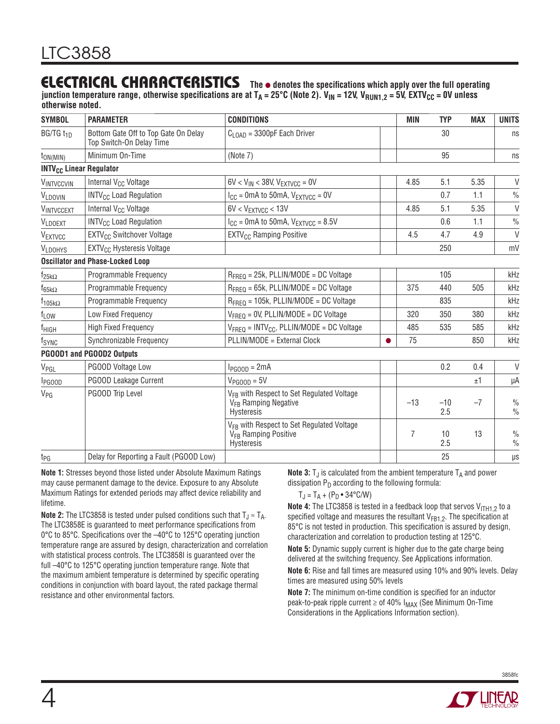### **ELECTRICAL CHARACTERISTICS** The  $\bullet$  denotes the specifications which apply over the full operating

junction temperature range, otherwise specifications are at T<sub>A</sub> = 25°C (Note 2). V<sub>IN</sub> = 12V, V<sub>RUN1,2</sub> = 5V, EXTV<sub>CC</sub> = 0V unless **otherwise noted.**

| <b>SYMBOL</b>             | <b>PARAMETER</b>                                                 | <b>CONDITIONS</b>                                                                                              |   | <b>MIN</b> | <b>TYP</b>   | <b>MAX</b> | <b>UNITS</b>                   |
|---------------------------|------------------------------------------------------------------|----------------------------------------------------------------------------------------------------------------|---|------------|--------------|------------|--------------------------------|
| BG/TG t <sub>1D</sub>     | Bottom Gate Off to Top Gate On Delay<br>Top Switch-On Delay Time | $C1$ $_{\text{OAD}}$ = 3300pF Each Driver                                                                      |   |            | 30           |            | ns                             |
| $t_{ON(MIN)}$             | Minimum On-Time                                                  | (Note 7)                                                                                                       |   |            | 95           |            | ns                             |
|                           | <b>INTV<sub>CC</sub></b> Linear Regulator                        |                                                                                                                |   |            |              |            |                                |
| VINTVCCVIN                | Internal V <sub>CC</sub> Voltage                                 | $6V < V_{IN} < 38V$ , $V_{EXTVCC} = 0V$                                                                        |   | 4.85       | 5.1          | 5.35       | V                              |
| VLDOVIN                   | <b>INTV<sub>CC</sub></b> Load Regulation                         | $I_{CC}$ = 0mA to 50mA, $V_{EXTVCC}$ = 0V                                                                      |   |            | 0.7          | 1.1        | $\%$                           |
| VINTVCCEXT                | Internal V <sub>CC</sub> Voltage                                 | $6V < V_{\text{EXTVCC}} < 13V$                                                                                 |   | 4.85       | 5.1          | 5.35       | $\vee$                         |
| VLDOEXT                   | <b>INTV<sub>CC</sub></b> Load Regulation                         | $I_{CC}$ = 0mA to 50mA, $V_{EXTVCC}$ = 8.5V                                                                    |   |            | 0.6          | 1.1        | $\%$                           |
| VEXTVCC                   | EXTV <sub>CC</sub> Switchover Voltage                            | <b>EXTV<sub>CC</sub></b> Ramping Positive                                                                      |   | 4.5        | 4.7          | 4.9        | $\vee$                         |
| <b>VLDOHYS</b>            | EXTV <sub>CC</sub> Hysteresis Voltage                            |                                                                                                                |   |            | 250          |            | mV                             |
|                           | <b>Oscillator and Phase-Locked Loop</b>                          |                                                                                                                |   |            |              |            |                                |
| $f_{25k\Omega}$           | Programmable Frequency                                           | $R_{FRFO} = 25k$ , PLLIN/MODE = DC Voltage                                                                     |   |            | 105          |            | kHz                            |
| $f_{65k\Omega}$           | Programmable Frequency                                           | $R_{FRFO} = 65k$ , PLLIN/MODE = DC Voltage                                                                     |   | 375        | 440          | 505        | kHz                            |
| $f_{105k\Omega}$          | Programmable Frequency                                           | $R_{FRFO}$ = 105k, PLLIN/MODE = DC Voltage                                                                     |   |            | 835          |            | kHz                            |
| f <sub>LOW</sub>          | Low Fixed Frequency                                              | $V_{FRFO} = 0V$ , PLLIN/MODE = DC Voltage                                                                      |   | 320        | 350          | 380        | kHz                            |
| f <sub>HIGH</sub>         | <b>High Fixed Frequency</b>                                      | $V_{\text{FREQ}} = \text{INTV}_{\text{CC}}$ , PLLIN/MODE = DC Voltage                                          |   | 485        | 535          | 585        | kHz                            |
| fsync                     | Synchronizable Frequency                                         | PLLIN/MODE = External Clock                                                                                    | ● | 75         |              | 850        | kHz                            |
|                           | PG00D1 and PG00D2 Outputs                                        |                                                                                                                |   |            |              |            |                                |
| V <sub>PGL</sub>          | PGOOD Voltage Low                                                | $I_{PGOOD} = 2mA$                                                                                              |   |            | 0.2          | 0.4        | V                              |
| <b>I</b> <sub>PGOOD</sub> | PGOOD Leakage Current                                            | $V_{PGOOD} = 5V$                                                                                               |   |            |              | ±1         | μA                             |
| V <sub>PG</sub>           | PGOOD Trip Level                                                 | V <sub>FB</sub> with Respect to Set Regulated Voltage<br>V <sub>FB</sub> Ramping Negative<br><b>Hysteresis</b> |   | $-13$      | $-10$<br>2.5 | $-7$       | $\frac{0}{0}$<br>$\frac{0}{0}$ |
|                           |                                                                  | V <sub>FB</sub> with Respect to Set Regulated Voltage<br>V <sub>FB</sub> Ramping Positive<br>Hysteresis        |   | 7          | 10<br>2.5    | 13         | $\frac{0}{0}$<br>$\frac{0}{0}$ |
| t <sub>PG</sub>           | Delay for Reporting a Fault (PGOOD Low)                          |                                                                                                                |   |            | 25           |            | $\mu$ s                        |

**Note 1:** Stresses beyond those listed under Absolute Maximum Ratings may cause permanent damage to the device. Exposure to any Absolute Maximum Ratings for extended periods may affect device reliability and lifetime.

**Note 2:** The LTC3858 is tested under pulsed conditions such that  $T_{\text{J}} \approx T_{\text{A}}$ . The LTC3858E is guaranteed to meet performance specifications from 0 $\degree$ C to 85 $\degree$ C. Specifications over the  $-40\degree$ C to 125 $\degree$ C operating junction temperature range are assured by design, characterization and correlation with statistical process controls. The LTC3858I is guaranteed over the full –40°C to 125°C operating junction temperature range. Note that the maximum ambient temperature is determined by specific operating conditions in conjunction with board layout, the rated package thermal resistance and other environmental factors.

**Note 3:**  $T_J$  is calculated from the ambient temperature  $T_A$  and power dissipation  $P_D$  according to the following formula:

 $T_J = T_A + (P_D \cdot 34^{\circ} C/W)$ 

**Note 4:** The LTC3858 is tested in a feedback loop that servos V<sub>ITH1,2</sub> to a specified voltage and measures the resultant  $V_{FB1,2}$ . The specification at 85°C is not tested in production. This specification is assured by design, characterization and correlation to production testing at 125°C.

**Note 5:** Dynamic supply current is higher due to the gate charge being delivered at the switching frequency. See Applications information.

**Note 6:** Rise and fall times are measured using 10% and 90% levels. Delay times are measured using 50% levels

**Note 7:** The minimum on-time condition is specified for an inductor peak-to-peak ripple current  $\geq$  of 40%  $I_{MAX}$  (See Minimum On-Time Considerations in the Applications Information section).

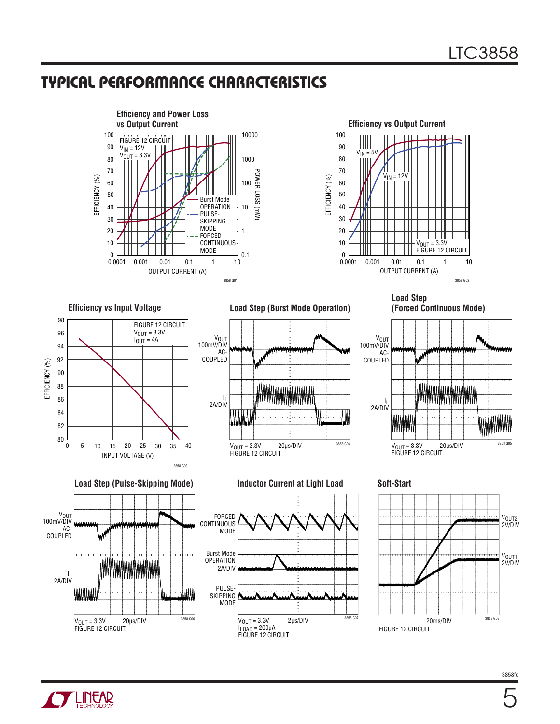



**Load Step** 

V<sub>OUT</sub><br>100mV/DIV AC-COUPLED

l<sub>L</sub><br>2A/DIV

**(Forced Continuous Mode)**

#### **Efficiency vs Input Voltage**



**Load Step (Pulse-Skipping Mode) Inductor Current at Light Load Soft-Start**



**Load Step (Burst Mode Operation)**





WWW.



20μs/DIV 3858 G05 VOUT = 3.3V FIGURE 12 CIRCUIT

**Alliliin** 



5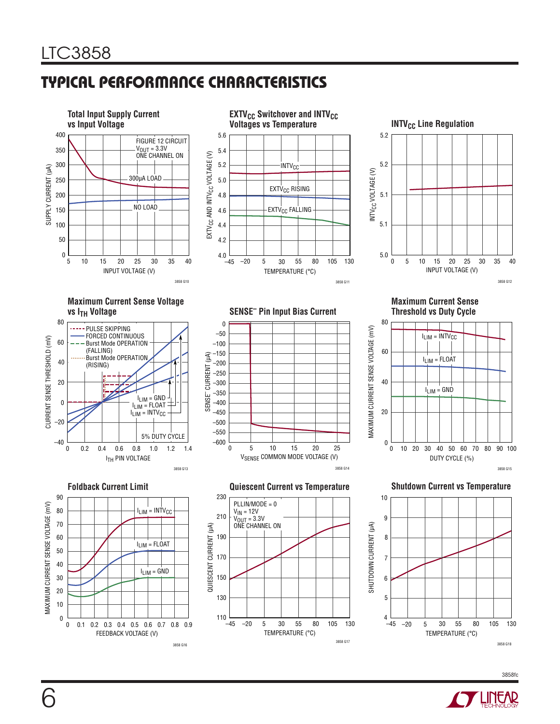

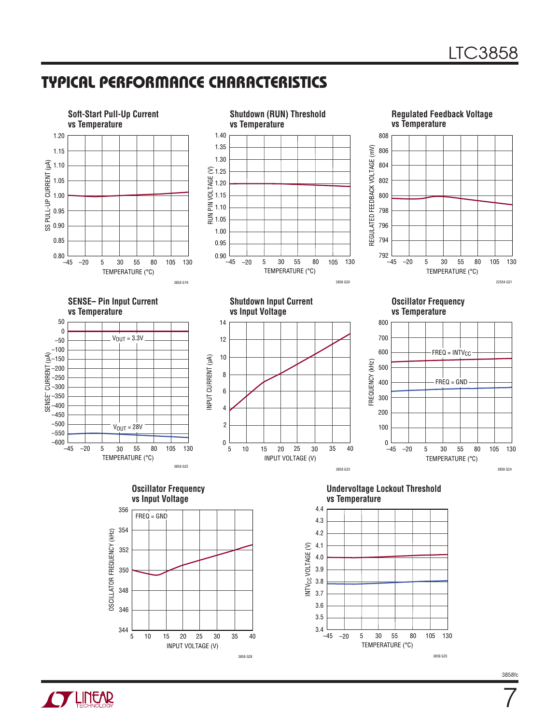



7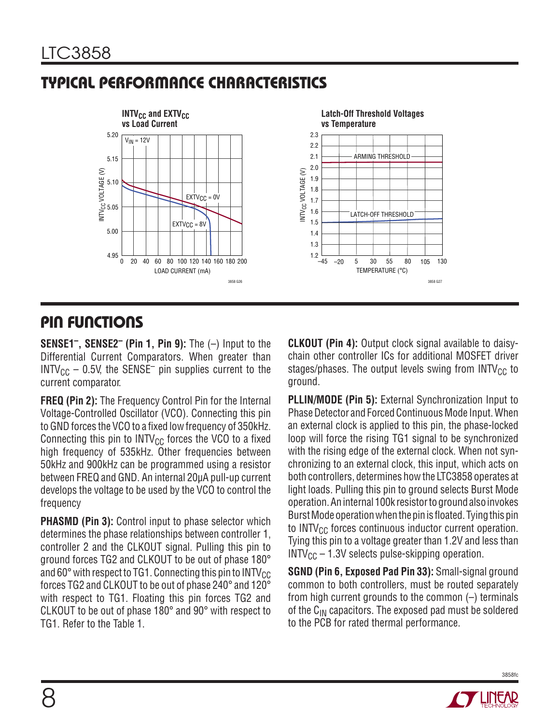

# **PIN FUNCTIONS**

**SENSE1–, SENSE2– (Pin 1, Pin 9):** The (–) Input to the Differential Current Comparators. When greater than  $INTV_{CC}$  – 0.5V, the SENSE<sup>-</sup> pin supplies current to the current comparator.

**FREQ (Pin 2):** The Frequency Control Pin for the Internal Voltage-Controlled Oscillator (VCO). Connecting this pin to GND forces the VCO to a fixed low frequency of 350kHz. Connecting this pin to  $INTV_{CC}$  forces the VCO to a fixed high frequency of 535kHz. Other frequencies between 50kHz and 900kHz can be programmed using a resistor between FREQ and GND. An internal 20μA pull-up current develops the voltage to be used by the VCO to control the frequency

**PHASMD (Pin 3):** Control input to phase selector which determines the phase relationships between controller 1, controller 2 and the CLKOUT signal. Pulling this pin to ground forces TG2 and CLKOUT to be out of phase 180° and 60 $^{\circ}$  with respect to TG1. Connecting this pin to INTV<sub>CC</sub> forces TG2 and CLKOUT to be out of phase 240° and 120° with respect to TG1. Floating this pin forces TG2 and CLKOUT to be out of phase 180° and 90° with respect to TG1. Refer to the Table 1.

**CLKOUT (Pin 4):** Output clock signal available to daisychain other controller ICs for additional MOSFET driver stages/phases. The output levels swing from  $INTV_{CC}$  to ground.

**PLLIN/MODE (Pin 5):** External Synchronization Input to Phase Detector and Forced Continuous Mode Input. When an external clock is applied to this pin, the phase-locked loop will force the rising TG1 signal to be synchronized with the rising edge of the external clock. When not synchronizing to an external clock, this input, which acts on both controllers, determines how the LTC3858 operates at light loads. Pulling this pin to ground selects Burst Mode operation. An internal 100k resistor to ground also invokes Burst Mode operation when the pin is floated. Tying this pin to  $INTV_{CC}$  forces continuous inductor current operation. Tying this pin to a voltage greater than 1.2V and less than  $INTV_{CC}$  – 1.3V selects pulse-skipping operation.

**SGND (Pin 6, Exposed Pad Pin 33):** Small-signal ground common to both controllers, must be routed separately from high current grounds to the common (–) terminals of the C<sub>IN</sub> capacitors. The exposed pad must be soldered to the PCB for rated thermal performance.

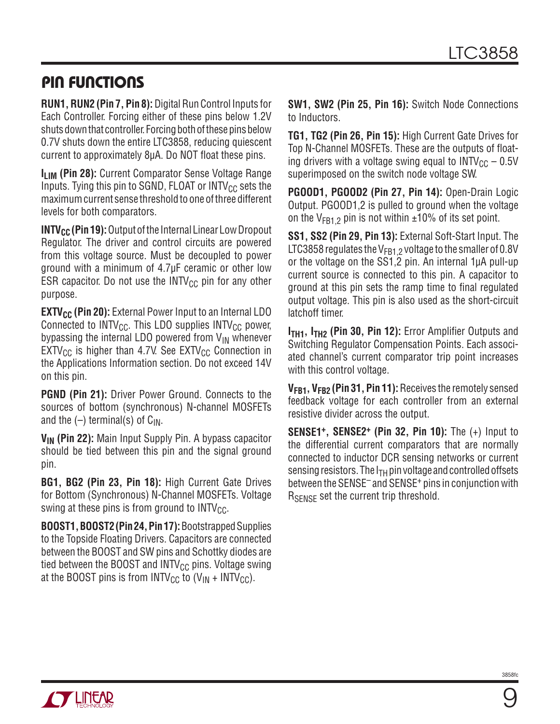## **PIN FUNCTIONS**

**RUN1, RUN2 (Pin 7, Pin 8):** Digital Run Control Inputs for Each Controller. Forcing either of these pins below 1.2V shuts down that controller. Forcing both of these pins below 0.7V shuts down the entire LTC3858, reducing quiescent current to approximately 8µA. Do NOT float these pins.

**ILIM (Pin 28):** Current Comparator Sense Voltage Range Inputs. Tying this pin to SGND, FLOAT or  $INTV_{CC}$  sets the maximum current sense threshold to one of three different levels for both comparators.

**INTV<sub>CC</sub>** (Pin 19): Output of the Internal Linear Low Dropout Regulator. The driver and control circuits are powered from this voltage source. Must be decoupled to power ground with a minimum of 4.7μF ceramic or other low ESR capacitor. Do not use the  $INTV_{CC}$  pin for any other purpose.

**EXTV<sub>CC</sub>** (Pin 20): External Power Input to an Internal LDO Connected to  $INTV_{CC}$ . This LDO supplies  $INTV_{CC}$  power, bypassing the internal LDO powered from  $V_{IN}$  whenever  $EXT_{CC}$  is higher than 4.7V. See EXTV<sub>CC</sub> Connection in the Applications Information section. Do not exceed 14V on this pin.

**PGND (Pin 21):** Driver Power Ground. Connects to the sources of bottom (synchronous) N-channel MOSFETs and the  $(-)$  terminal(s) of  $C_{IN}$ .

**VIN (Pin 22):** Main Input Supply Pin. A bypass capacitor should be tied between this pin and the signal ground pin.

**BG1, BG2 (Pin 23, Pin 18):** High Current Gate Drives for Bottom (Synchronous) N-Channel MOSFETs. Voltage swing at these pins is from ground to  $INTV_{CC}$ .

**BOOST1, BOOST2 (Pin 24, Pin 17):** Bootstrapped Supplies to the Topside Floating Drivers. Capacitors are connected between the BOOST and SW pins and Schottky diodes are tied between the BOOST and INTV $_{\text{CC}}$  pins. Voltage swing at the BOOST pins is from INTV<sub>CC</sub> to  $(V_{IN} + INTV_{CC})$ .

**SW1, SW2 (Pin 25, Pin 16):** Switch Node Connections to Inductors.

**TG1, TG2 (Pin 26, Pin 15):** High Current Gate Drives for Top N-Channel MOSFETs. These are the outputs of floating drivers with a voltage swing equal to  $INTV_{CC} - 0.5V$ superimposed on the switch node voltage SW.

**PGOOD1, PGOOD2 (Pin 27, Pin 14):** Open-Drain Logic Output. PGOOD1,2 is pulled to ground when the voltage on the  $V_{FR1,2}$  pin is not within  $\pm 10\%$  of its set point.

**SS1, SS2 (Pin 29, Pin 13):** External Soft-Start Input. The LTC3858 regulates the  $V_{FB1,2}$  voltage to the smaller of 0.8V or the voltage on the SS1,2 pin. An internal 1μA pull-up current source is connected to this pin. A capacitor to ground at this pin sets the ramp time to final regulated output voltage. This pin is also used as the short-circuit latchoff timer.

**ITH1, ITH2 (Pin 30, Pin 12):** Error Amplifier Outputs and Switching Regulator Compensation Points. Each associated channel's current comparator trip point increases with this control voltage.

**VFB1, VFB2 (Pin 31, Pin 11):** Receives the remotely sensed feedback voltage for each controller from an external resistive divider across the output.

**SENSE1+, SENSE2+ (Pin 32, Pin 10):** The (+) Input to the differential current comparators that are normally connected to inductor DCR sensing networks or current sensing resistors. The  $I<sub>TH</sub>$  pin voltage and controlled offsets between the SENSE<sup>-</sup> and SENSE<sup>+</sup> pins in conjunction with R<sub>SFNSF</sub> set the current trip threshold.

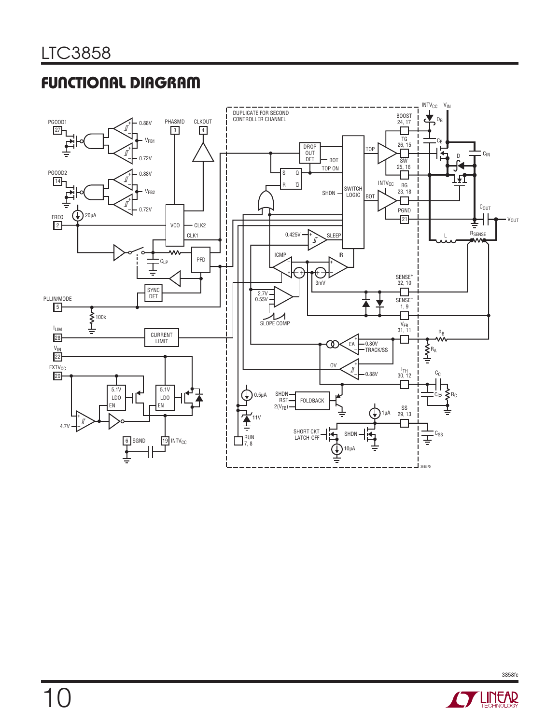# **FUNCTIONAL DIAGRAM**



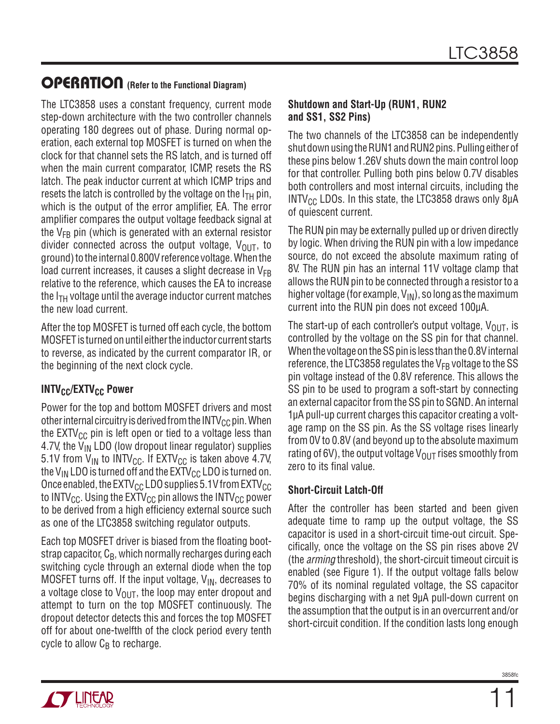The LTC3858 uses a constant frequency, current mode step-down architecture with the two controller channels operating 180 degrees out of phase. During normal operation, each external top MOSFET is turned on when the clock for that channel sets the RS latch, and is turned off when the main current comparator, ICMP, resets the RS latch. The peak inductor current at which ICMP trips and resets the latch is controlled by the voltage on the  $I<sub>TH</sub>$  pin, which is the output of the error amplifier, EA. The error amplifier compares the output voltage feedback signal at the  $V_{FB}$  pin (which is generated with an external resistor divider connected across the output voltage,  $V_{\text{OUT}}$ , to ground) to the internal 0.800V reference voltage. When the load current increases, it causes a slight decrease in  $V_{FB}$ relative to the reference, which causes the EA to increase the  $I_{TH}$  voltage until the average inductor current matches the new load current.

After the top MOSFET is turned off each cycle, the bottom MOSFET is turned on until either the inductor current starts to reverse, as indicated by the current comparator IR, or the beginning of the next clock cycle.

#### **INTV<sub>CC</sub>/EXTV<sub>CC</sub> Power**

Power for the top and bottom MOSFET drivers and most other internal circuitry is derived from the  $INTV_{CC}$  pin. When the  $EXTV_{CC}$  pin is left open or tied to a voltage less than 4.7V, the  $V_{IN}$  LDO (low dropout linear regulator) supplies 5.1V from  $V_{IN}$  to INTV<sub>CC</sub>. If EXTV<sub>CC</sub> is taken above 4.7V, the V<sub>IN</sub> LDO is turned off and the  $\text{EXTV}_{\text{CC}}$  LDO is turned on. Once enabled, the  $\text{EXTV}_{\text{CC}}$  LDO supplies 5.1V from  $\text{EXTV}_{\text{CC}}$ to INTV<sub>CC</sub>. Using the  $\text{EXTV}_{\text{CC}}$  pin allows the INTV<sub>CC</sub> power to be derived from a high efficiency external source such as one of the LTC3858 switching regulator outputs.

Each top MOSFET driver is biased from the floating bootstrap capacitor,  $C_B$ , which normally recharges during each switching cycle through an external diode when the top MOSFET turns off. If the input voltage,  $V_{IN}$ , decreases to a voltage close to  $V_{\text{OUT}}$ , the loop may enter dropout and attempt to turn on the top MOSFET continuously. The dropout detector detects this and forces the top MOSFET off for about one-twelfth of the clock period every tenth cycle to allow  $C_B$  to recharge.

#### **Shutdown and Start-Up (RUN1, RUN2 and SS1, SS2 Pins)**

The two channels of the LTC3858 can be independently shut down using the RUN1 and RUN2 pins. Pulling either of these pins below 1.26V shuts down the main control loop for that controller. Pulling both pins below 0.7V disables both controllers and most internal circuits, including the INTV<sub>CC</sub> LDOs. In this state, the LTC3858 draws only 8 $\mu$ A of quiescent current.

The RUN pin may be externally pulled up or driven directly by logic. When driving the RUN pin with a low impedance source, do not exceed the absolute maximum rating of 8V. The RUN pin has an internal 11V voltage clamp that allows the RUN pin to be connected through a resistor to a higher voltage (for example,  $V_{\text{IN}}$ ), so long as the maximum current into the RUN pin does not exceed 100μA.

The start-up of each controller's output voltage,  $V_{\text{OUT}}$ , is controlled by the voltage on the SS pin for that channel. When the voltage on the SS pin is less than the 0.8V internal reference, the LTC3858 regulates the  $V_{FB}$  voltage to the SS pin voltage instead of the 0.8V reference. This allows the SS pin to be used to program a soft-start by connecting an external capacitor from the SS pin to SGND. An internal 1μA pull-up current charges this capacitor creating a voltage ramp on the SS pin. As the SS voltage rises linearly from 0V to 0.8V (and beyond up to the absolute maximum rating of 6V), the output voltage  $V_{OUT}$  rises smoothly from zero to its final value.

#### **Short-Circuit Latch-Off**

After the controller has been started and been given adequate time to ramp up the output voltage, the SS capacitor is used in a short-circuit time-out circuit. Specifi cally, once the voltage on the SS pin rises above 2V (the arming threshold), the short-circuit timeout circuit is enabled (see Figure 1). If the output voltage falls below 70% of its nominal regulated voltage, the SS capacitor begins discharging with a net 9μA pull-down current on the assumption that the output is in an overcurrent and/or short-circuit condition. If the condition lasts long enough

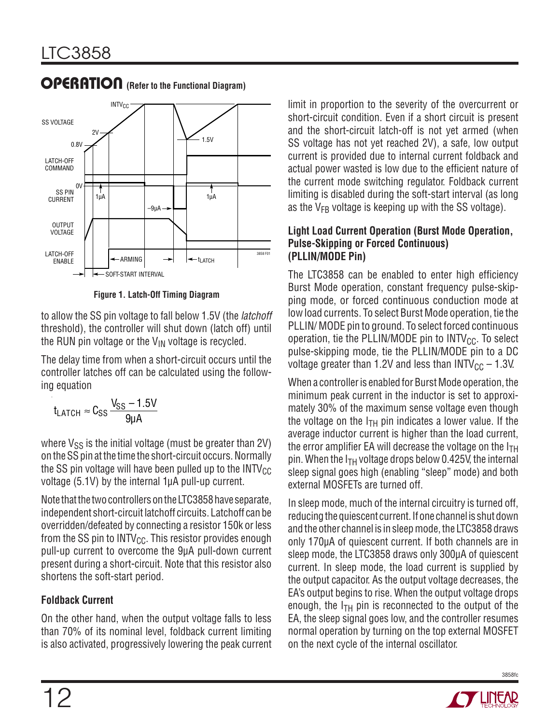

**Figure 1. Latch-Off Timing Diagram**

to allow the SS pin voltage to fall below 1.5V (the latchoff threshold), the controller will shut down (latch off) until the RUN pin voltage or the  $V_{IN}$  voltage is recycled.

The delay time from when a short-circuit occurs until the controller latches off can be calculated using the following equation

$$
t_{LATCH}\approx C_{SS}\frac{V_{SS}-1.5V}{9\mu A}
$$

where  $V_{SS}$  is the initial voltage (must be greater than 2V) on the SS pin at the time the short-circuit occurs. Normally the SS pin voltage will have been pulled up to the  $INTV_{CC}$ voltage (5.1V) by the internal 1μA pull-up current.

Note that the two controllers on the LTC3858 have separate, independent short-circuit latchoff circuits. Latchoff can be overridden/defeated by connecting a resistor 150k or less from the SS pin to INTV $_{\text{CC}}$ . This resistor provides enough pull-up current to overcome the 9μA pull-down current present during a short-circuit. Note that this resistor also shortens the soft-start period.

#### **Foldback Current**

On the other hand, when the output voltage falls to less than 70% of its nominal level, foldback current limiting is also activated, progressively lowering the peak current limit in proportion to the severity of the overcurrent or short-circuit condition. Even if a short circuit is present and the short-circuit latch-off is not yet armed (when SS voltage has not yet reached 2V), a safe, low output current is provided due to internal current foldback and actual power wasted is low due to the efficient nature of the current mode switching regulator. Foldback current limiting is disabled during the soft-start interval (as long as the  $V_{FB}$  voltage is keeping up with the SS voltage).

#### **Light Load Current Operation (Burst Mode Operation, Pulse-Skipping or Forced Continuous) (PLLIN/MODE Pin)**

The LTC3858 can be enabled to enter high efficiency Burst Mode operation, constant frequency pulse-skipping mode, or forced continuous conduction mode at low load currents. To select Burst Mode operation, tie the PLLIN/ MODE pin to ground. To select forced continuous operation, tie the PLLIN/MODE pin to  $INTV_{CC}$ . To select pulse-skipping mode, tie the PLLIN/MODE pin to a DC voltage greater than 1.2V and less than  $INTV_{CC} - 1.3V$ .

When a controller is enabled for Burst Mode operation, the minimum peak current in the inductor is set to approximately 30% of the maximum sense voltage even though the voltage on the  $I<sub>TH</sub>$  pin indicates a lower value. If the average inductor current is higher than the load current, the error amplifier EA will decrease the voltage on the  $I<sub>TH</sub>$ pin. When the  $I<sub>TH</sub>$  voltage drops below 0.425V, the internal sleep signal goes high (enabling "sleep" mode) and both external MOSFETs are turned off.

In sleep mode, much of the internal circuitry is turned off, reducing the quiescent current. If one channel is shut down and the other channel is in sleep mode, the LTC3858 draws only 170μA of quiescent current. If both channels are in sleep mode, the LTC3858 draws only 300μA of quiescent current. In sleep mode, the load current is supplied by the output capacitor. As the output voltage decreases, the EA's output begins to rise. When the output voltage drops enough, the  $I<sub>TH</sub>$  pin is reconnected to the output of the EA, the sleep signal goes low, and the controller resumes normal operation by turning on the top external MOSFET on the next cycle of the internal oscillator.

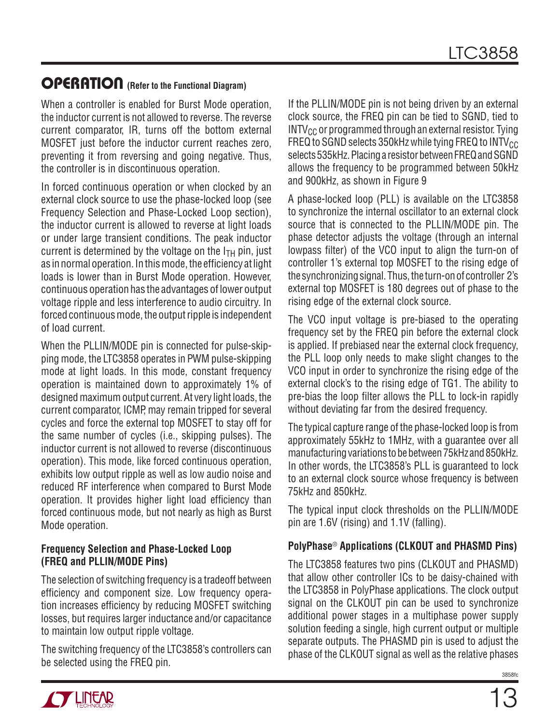When a controller is enabled for Burst Mode operation, the inductor current is not allowed to reverse. The reverse current comparator, IR, turns off the bottom external MOSFET just before the inductor current reaches zero, preventing it from reversing and going negative. Thus, the controller is in discontinuous operation.

In forced continuous operation or when clocked by an external clock source to use the phase-locked loop (see Frequency Selection and Phase-Locked Loop section), the inductor current is allowed to reverse at light loads or under large transient conditions. The peak inductor current is determined by the voltage on the  $I<sub>TH</sub>$  pin, just as in normal operation. In this mode, the efficiency at light loads is lower than in Burst Mode operation. However, continuous operation has the advantages of lower output voltage ripple and less interference to audio circuitry. In forced continuous mode, the output ripple is independent of load current.

When the PLLIN/MODE pin is connected for pulse-skipping mode, the LTC3858 operates in PWM pulse-skipping mode at light loads. In this mode, constant frequency operation is maintained down to approximately 1% of designed maximum output current. At very light loads, the current comparator, ICMP, may remain tripped for several cycles and force the external top MOSFET to stay off for the same number of cycles (i.e., skipping pulses). The inductor current is not allowed to reverse (discontinuous operation). This mode, like forced continuous operation, exhibits low output ripple as well as low audio noise and reduced RF interference when compared to Burst Mode operation. It provides higher light load efficiency than forced continuous mode, but not nearly as high as Burst Mode operation.

#### **Frequency Selection and Phase-Locked Loop (FREQ and PLLIN/MODE Pins)**

The selection of switching frequency is a tradeoff between efficiency and component size. Low frequency operation increases efficiency by reducing MOSFET switching losses, but requires larger inductance and/or capacitance to maintain low output ripple voltage.

The switching frequency of the LTC3858's controllers can be selected using the FREQ pin.

If the PLLIN/MODE pin is not being driven by an external clock source, the FREQ pin can be tied to SGND, tied to  $INTV_{CC}$  or programmed through an external resistor. Tying FREQ to SGND selects 350kHz while tying FREQ to  $INTV_{CC}$ selects 535kHz. Placing a resistor between FREQ and SGND allows the frequency to be programmed between 50kHz and 900kHz, as shown in Figure 9

A phase-locked loop (PLL) is available on the LTC3858 to synchronize the internal oscillator to an external clock source that is connected to the PLLIN/MODE pin. The phase detector adjusts the voltage (through an internal lowpass filter) of the VCO input to align the turn-on of controller 1's external top MOSFET to the rising edge of the synchronizing signal. Thus, the turn-on of controller 2's external top MOSFET is 180 degrees out of phase to the rising edge of the external clock source.

The VCO input voltage is pre-biased to the operating frequency set by the FREQ pin before the external clock is applied. If prebiased near the external clock frequency, the PLL loop only needs to make slight changes to the VCO input in order to synchronize the rising edge of the external clock's to the rising edge of TG1. The ability to pre-bias the loop filter allows the PLL to lock-in rapidly without deviating far from the desired frequency.

The typical capture range of the phase-locked loop is from approximately 55kHz to 1MHz, with a guarantee over all manufacturing variations to be between 75kHz and 850kHz. In other words, the LTC3858's PLL is guaranteed to lock to an external clock source whose frequency is between 75kHz and 850kHz.

The typical input clock thresholds on the PLLIN/MODE pin are 1.6V (rising) and 1.1V (falling).

#### **PolyPhase**® **Applications (CLKOUT and PHASMD Pins)**

The LTC3858 features two pins (CLKOUT and PHASMD) that allow other controller ICs to be daisy-chained with the LTC3858 in PolyPhase applications. The clock output signal on the CLKOUT pin can be used to synchronize additional power stages in a multiphase power supply solution feeding a single, high current output or multiple separate outputs. The PHASMD pin is used to adjust the phase of the CLKOUT signal as well as the relative phases

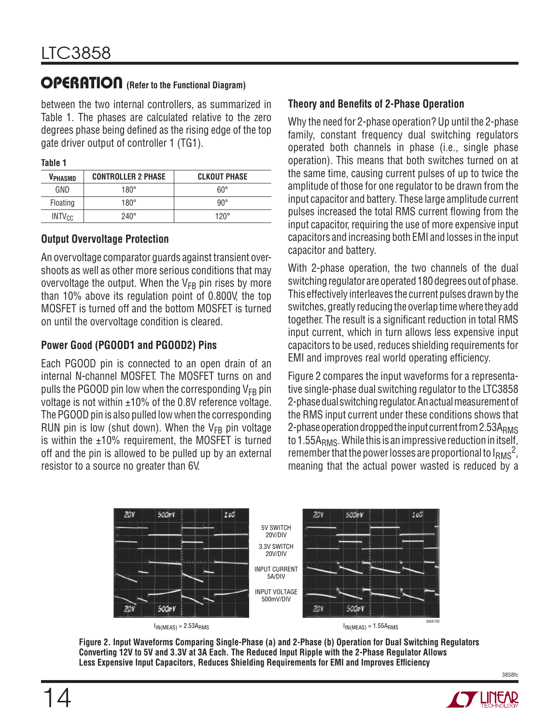between the two internal controllers, as summarized in Table 1. The phases are calculated relative to the zero degrees phase being defined as the rising edge of the top gate driver output of controller 1 (TG1).

| . .<br>× | ۰, | ۰, |  |
|----------|----|----|--|

| VPHASMD     | <b>CONTROLLER 2 PHASE</b> | <b>CLKOUT PHASE</b> |
|-------------|---------------------------|---------------------|
| GND         | $180^\circ$               | $60^{\circ}$        |
| Floating    | $180^\circ$               | $90^{\circ}$        |
| $INTV_{CC}$ | $240^\circ$               | $120^\circ$         |

#### **Output Overvoltage Protection**

An overvoltage comparator guards against transient overshoots as well as other more serious conditions that may overvoltage the output. When the  $V_{FB}$  pin rises by more than 10% above its regulation point of 0.800V, the top MOSFET is turned off and the bottom MOSFET is turned on until the overvoltage condition is cleared.

#### **Power Good (PGOOD1 and PGOOD2) Pins**

Each PGOOD pin is connected to an open drain of an internal N-channel MOSFET. The MOSFET turns on and pulls the PGOOD pin low when the corresponding  $V_{FB}$  pin voltage is not within  $\pm 10\%$  of the 0.8V reference voltage. The PGOOD pin is also pulled low when the corresponding RUN pin is low (shut down). When the  $V_{FB}$  pin voltage is within the  $±10\%$  requirement, the MOSFET is turned off and the pin is allowed to be pulled up by an external resistor to a source no greater than 6V.

#### **Theory and Benefits of 2-Phase Operation**

Why the need for 2-phase operation? Up until the 2-phase family, constant frequency dual switching regulators operated both channels in phase (i.e., single phase operation). This means that both switches turned on at the same time, causing current pulses of up to twice the amplitude of those for one regulator to be drawn from the input capacitor and battery. These large amplitude current pulses increased the total RMS current flowing from the input capacitor, requiring the use of more expensive input capacitors and increasing both EMI and losses in the input capacitor and battery.

With 2-phase operation, the two channels of the dual switching regulator are operated 180 degrees out of phase. This effectively interleaves the current pulses drawn by the switches, greatly reducing the overlap time where they add together. The result is a significant reduction in total RMS input current, which in turn allows less expensive input capacitors to be used, reduces shielding requirements for EMI and improves real world operating efficiency.

Figure 2 compares the input waveforms for a representative single-phase dual switching regulator to the LTC3858 2-phase dual switching regulator. An actual measurement of the RMS input current under these conditions shows that 2-phase operation dropped the input current from 2.53ARMS to 1.55 $A<sub>RMS</sub>$ . While this is an impressive reduction in itself, remember that the power losses are proportional to  $I<sub>RMS</sub><sup>2</sup>$ , meaning that the actual power wasted is reduced by a



**Figure 2. Input Waveforms Comparing Single-Phase (a) and 2-Phase (b) Operation for Dual Switching Regulators Converting 12V to 5V and 3.3V at 3A Each. The Reduced Input Ripple with the 2-Phase Regulator Allows**  Less Expensive Input Capacitors, Reduces Shielding Requirements for EMI and Improves Efficiency

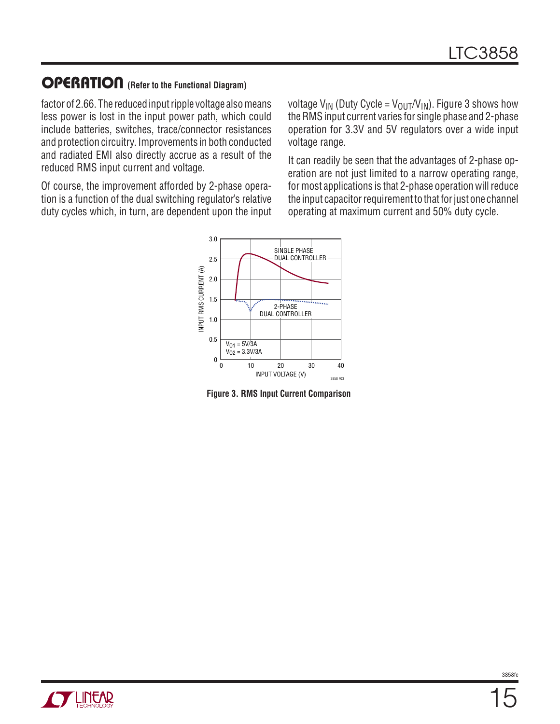factor of 2.66. The reduced input ripple voltage also means less power is lost in the input power path, which could include batteries, switches, trace/connector resistances and protection circuitry. Improvements in both conducted and radiated EMI also directly accrue as a result of the reduced RMS input current and voltage.

Of course, the improvement afforded by 2-phase operation is a function of the dual switching regulator's relative duty cycles which, in turn, are dependent upon the input voltage  $V_{IN}$  (Duty Cycle =  $V_{OUT}/V_{IN}$ ). Figure 3 shows how the RMS input current varies for single phase and 2-phase operation for 3.3V and 5V regulators over a wide input voltage range.

It can readily be seen that the advantages of 2-phase operation are not just limited to a narrow operating range, for most applications is that 2-phase operation will reduce the input capacitor requirement to that for just one channel operating at maximum current and 50% duty cycle.



**Figure 3. RMS Input Current Comparison**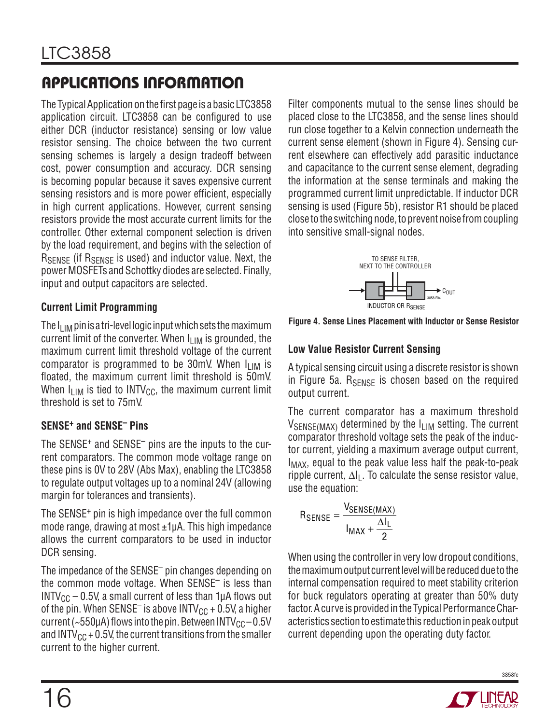The Typical Application on the first page is a basic LTC3858 application circuit. LTC3858 can be configured to use either DCR (inductor resistance) sensing or low value resistor sensing. The choice between the two current sensing schemes is largely a design tradeoff between cost, power consumption and accuracy. DCR sensing is becoming popular because it saves expensive current sensing resistors and is more power efficient, especially in high current applications. However, current sensing resistors provide the most accurate current limits for the controller. Other external component selection is driven by the load requirement, and begins with the selection of RSENSE (if RSENSE is used) and inductor value. Next, the power MOSFETs and Schottky diodes are selected. Finally, input and output capacitors are selected.

#### **Current Limit Programming**

The I<sub>LIM</sub> pin is a tri-level logic input which sets the maximum current limit of the converter. When  $I_{\text{LIM}}$  is grounded, the maximum current limit threshold voltage of the current comparator is programmed to be 30mV. When  $I_{LIM}$  is floated, the maximum current limit threshold is 50mV. When  $I_{LIM}$  is tied to INTV<sub>CC</sub>, the maximum current limit threshold is set to 75mV.

### **SENSE+ and SENSE– Pins**

The SENSE<sup>+</sup> and SENSE<sup>-</sup> pins are the inputs to the current comparators. The common mode voltage range on these pins is 0V to 28V (Abs Max), enabling the LTC3858 to regulate output voltages up to a nominal 24V (allowing margin for tolerances and transients).

The SENSE<sup>+</sup> pin is high impedance over the full common mode range, drawing at most  $\pm 1\mu$ A. This high impedance allows the current comparators to be used in inductor DCR sensing.

The impedance of the SENSE– pin changes depending on the common mode voltage. When SENSE– is less than INTV<sub>CC</sub> – 0.5V, a small current of less than 1 $\mu$ A flows out of the pin. When SENSE<sup>-</sup> is above INTV<sub>CC</sub> + 0.5V, a higher current (~550µA) flows into the pin. Between INTV $_{\rm CC}$  – 0.5V and INTV $_{\text{CC}}$  + 0.5V, the current transitions from the smaller current to the higher current.

Filter components mutual to the sense lines should be placed close to the LTC3858, and the sense lines should run close together to a Kelvin connection underneath the current sense element (shown in Figure 4). Sensing current elsewhere can effectively add parasitic inductance and capacitance to the current sense element, degrading the information at the sense terminals and making the programmed current limit unpredictable. If inductor DCR sensing is used (Figure 5b), resistor R1 should be placed close to the switching node, to prevent noise from coupling into sensitive small-signal nodes.



**Figure 4. Sense Lines Placement with Inductor or Sense Resistor**

#### **Low Value Resistor Current Sensing**

A typical sensing circuit using a discrete resistor is shown in Figure 5a.  $R_{\text{SENSE}}$  is chosen based on the required output current.

The current comparator has a maximum threshold  $V_{\text{SENSE(MAX)}}$  determined by the  $I_{\text{LIM}}$  setting. The current comparator threshold voltage sets the peak of the inductor current, yielding a maximum average output current, I<sub>MAX</sub>, equal to the peak value less half the peak-to-peak ripple current,  $\Delta I_L$ . To calculate the sense resistor value, use the equation:

$$
\mathsf{R}_{\mathsf{SENSE}} = \frac{\mathsf{V}_{\mathsf{SENSE}(\mathsf{MAX})}}{\mathsf{I}_{\mathsf{MAX}} + \frac{\Delta \mathsf{I}_{\mathsf{L}}}{2}}
$$

When using the controller in very low dropout conditions, the maximum output current level will be reduced due to the internal compensation required to meet stability criterion for buck regulators operating at greater than 50% duty factor. A curve is provided in the Typical Performance Characteristics section to estimate this reduction in peak output current depending upon the operating duty factor.

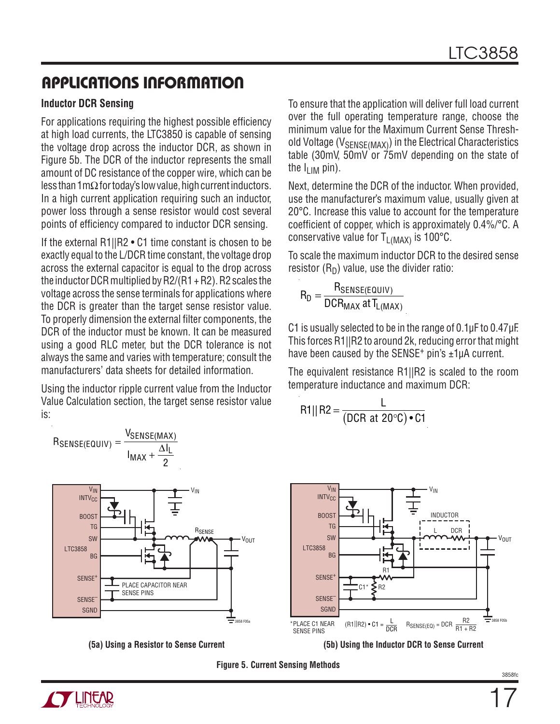#### **Inductor DCR Sensing**

For applications requiring the highest possible efficiency at high load currents, the LTC3850 is capable of sensing the voltage drop across the inductor DCR, as shown in Figure 5b. The DCR of the inductor represents the small amount of DC resistance of the copper wire, which can be less than 1mΩ for today's low value, high current inductors. In a high current application requiring such an inductor, power loss through a sense resistor would cost several points of efficiency compared to inductor DCR sensing.

If the external R1||R2 • C1 time constant is chosen to be exactly equal to the L/DCR time constant, the voltage drop across the external capacitor is equal to the drop across the inductor DCR multiplied by  $R2/(R1 + R2)$ . R2 scales the voltage across the sense terminals for applications where the DCR is greater than the target sense resistor value. To properly dimension the external filter components, the DCR of the inductor must be known. It can be measured using a good RLC meter, but the DCR tolerance is not always the same and varies with temperature; consult the manufacturers' data sheets for detailed information.

Using the inductor ripple current value from the Inductor Value Calculation section, the target sense resistor value is:





To ensure that the application will deliver full load current over the full operating temperature range, choose the minimum value for the Maximum Current Sense Threshold Voltage ( $V_{\text{SFNSF(MAX)}}$ ) in the Electrical Characteristics table (30mV, 50mV or 75mV depending on the state of the  $I_{\text{LIM}}$  pin).

Next, determine the DCR of the inductor. When provided, use the manufacturer's maximum value, usually given at 20°C. Increase this value to account for the temperature coefficient of copper, which is approximately  $0.4\frac{1}{2}$ °C. A conservative value for  $T_{\text{L(MAX)}}$  is 100°C.

To scale the maximum inductor DCR to the desired sense resistor  $(R_D)$  value, use the divider ratio:

$$
R_D = \frac{R_{\text{SENSE(EQUIV)}}}{DCR_{\text{MAX}}} \text{ at } T_{L(\text{MAX})}
$$

C1 is usually selected to be in the range of 0.1μF to 0.47μF. This forces R1||R2 to around 2k, reducing error that might have been caused by the SENSE<sup>+</sup> pin's  $\pm 1\mu$ A current.

The equivalent resistance R1||R2 is scaled to the room temperature inductance and maximum DCR:

$$
R1 || R2 = \frac{L}{(DCR at 20°C) \cdot C1}
$$





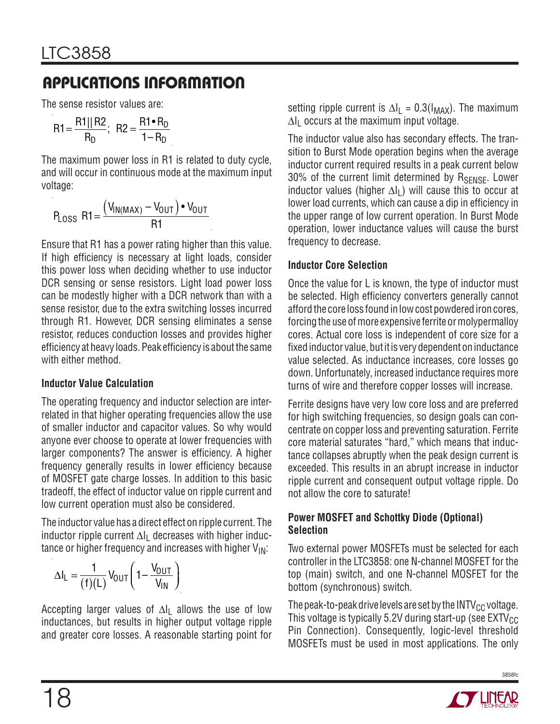The sense resistor values are:

$$
R1 = \frac{R1 || R2}{R_D}; R2 = \frac{R1 \cdot R_D}{1 - R_D}
$$

The maximum power loss in R1 is related to duty cycle, and will occur in continuous mode at the maximum input voltage:

$$
P_{LOSS} \text{ R1} = \frac{(V_{IN(MAX)} - V_{OUT}) \cdot V_{OUT}}{R1}
$$

Ensure that R1 has a power rating higher than this value. If high efficiency is necessary at light loads, consider this power loss when deciding whether to use inductor DCR sensing or sense resistors. Light load power loss can be modestly higher with a DCR network than with a sense resistor, due to the extra switching losses incurred through R1. However, DCR sensing eliminates a sense resistor, reduces conduction losses and provides higher efficiency at heavy loads. Peak efficiency is about the same with either method.

#### **Inductor Value Calculation**

The operating frequency and inductor selection are interrelated in that higher operating frequencies allow the use of smaller inductor and capacitor values. So why would anyone ever choose to operate at lower frequencies with larger components? The answer is efficiency. A higher frequency generally results in lower efficiency because of MOSFET gate charge losses. In addition to this basic tradeoff, the effect of inductor value on ripple current and low current operation must also be considered.

The inductor value has a direct effect on ripple current. The inductor ripple current ∆IL decreases with higher inductance or higher frequency and increases with higher  $V_{IN}$ :

$$
\Delta I_L = \frac{1}{(f)(L)} V_{OUT} \left( 1 - \frac{V_{OUT}}{V_{IN}} \right)
$$

Accepting larger values of  $\Delta I_L$  allows the use of low inductances, but results in higher output voltage ripple and greater core losses. A reasonable starting point for setting ripple current is  $\Delta I_L = 0.3(I_{MAX})$ . The maximum  $\Delta I_1$  occurs at the maximum input voltage.

The inductor value also has secondary effects. The transition to Burst Mode operation begins when the average inductor current required results in a peak current below 30% of the current limit determined by RSENSE. Lower inductor values (higher  $\Delta I_L$ ) will cause this to occur at lower load currents, which can cause a dip in efficiency in the upper range of low current operation. In Burst Mode operation, lower inductance values will cause the burst frequency to decrease.

#### **Inductor Core Selection**

Once the value for L is known, the type of inductor must be selected. High efficiency converters generally cannot afford the core loss found in low cost powdered iron cores, forcing the use of more expensive ferrite or molypermalloy cores. Actual core loss is independent of core size for a fixed inductor value, but it is very dependent on inductance value selected. As inductance increases, core losses go down. Unfortunately, increased inductance requires more turns of wire and therefore copper losses will increase.

Ferrite designs have very low core loss and are preferred for high switching frequencies, so design goals can concentrate on copper loss and preventing saturation. Ferrite core material saturates "hard," which means that inductance collapses abruptly when the peak design current is exceeded. This results in an abrupt increase in inductor ripple current and consequent output voltage ripple. Do not allow the core to saturate!

#### **Power MOSFET and Schottky Diode (Optional) Selection**

Two external power MOSFETs must be selected for each controller in the LTC3858: one N-channel MOSFET for the top (main) switch, and one N-channel MOSFET for the bottom (synchronous) switch.

The peak-to-peak drive levels are set by the  $INTV_{CC}$  voltage. This voltage is typically 5.2V during start-up (see  $\text{EXTV}_{\text{CC}}$ Pin Connection). Consequently, logic-level threshold MOSFETs must be used in most applications. The only

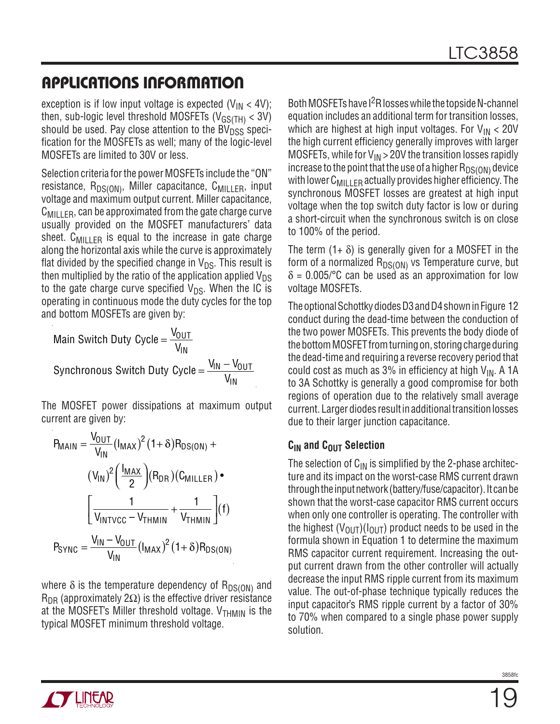exception is if low input voltage is expected  $(V_{IN} < 4V)$ ; then, sub-logic level threshold MOSFETs ( $V_{\text{GS}(TH)}$  < 3V) should be used. Pay close attention to the  $BV<sub>DSS</sub>$  specification for the MOSFETs as well; many of the logic-level MOSFETs are limited to 30V or less.

Selection criteria for the power MOSFETs include the "ON" resistance,  $R_{DS(ON)}$ , Miller capacitance,  $C_{MII|F}$ , input voltage and maximum output current. Miller capacitance,  $C_{\text{MILLER}}$ , can be approximated from the gate charge curve usually provided on the MOSFET manufacturers' data sheet.  $C_{MII,IFR}$  is equal to the increase in gate charge along the horizontal axis while the curve is approximately flat divided by the specified change in  $V_{DS}$ . This result is then multiplied by the ratio of the application applied  $V_{DS}$ to the gate charge curve specified  $V_{DS}$ . When the IC is operating in continuous mode the duty cycles for the top and bottom MOSFETs are given by:

Main Switch Duty Cycle = 
$$
\frac{V_{OUT}}{V_{IN}}
$$
  
Synchronous Switch Duty Cycle =  $\frac{V_{IN} - V_{OUT}}{V_{IN}}$ 

The MOSFET power dissipations at maximum output current are given by:

$$
P_{MAIN} = \frac{V_{OUT}}{V_{IN}} (I_{MAX})^{2} (1+\delta) R_{DS(ON)} +
$$

$$
(V_{IN})^{2} \left(\frac{I_{MAX}}{2}\right) (R_{DR}) (C_{MILLER}) \bullet
$$

$$
\left[\frac{1}{V_{INTVCC} - V_{THMIN}} + \frac{1}{V_{THMIN}}\right] (f)
$$

$$
P_{SYNC} = \frac{V_{IN} - V_{OUT}}{V_{IN}} (I_{MAX})^{2} (1+\delta) R_{DS(ON)}
$$

where  $\delta$  is the temperature dependency of  $R_{DS(ON)}$  and  $R_{\text{DR}}$  (approximately 2 $\Omega$ ) is the effective driver resistance at the MOSFET's Miller threshold voltage.  $V_{THMIN}$  is the typical MOSFET minimum threshold voltage.

Both MOSFETs have I2R losses while the topside N-channel equation includes an additional term for transition losses, which are highest at high input voltages. For  $V_{IN} < 20V$ the high current efficiency generally improves with larger MOSFETs, while for  $V_{IN}$  > 20V the transition losses rapidly increase to the point that the use of a higher  $R_{DS(ON)}$  device with lower  $C_{\text{MII}+FR}$  actually provides higher efficiency. The synchronous MOSFET losses are greatest at high input voltage when the top switch duty factor is low or during a short-circuit when the synchronous switch is on close to 100% of the period.

The term  $(1+\delta)$  is generally given for a MOSFET in the form of a normalized  $R_{DS(ON)}$  vs Temperature curve, but  $\delta$  = 0.005/°C can be used as an approximation for low voltage MOSFETs.

The optional Schottky diodes D3 and D4 shown in Figure 12 conduct during the dead-time between the conduction of the two power MOSFETs. This prevents the body diode of the bottom MOSFET from turning on, storing charge during the dead-time and requiring a reverse recovery period that could cost as much as 3% in efficiency at high  $V_{IN}$ . A 1A to 3A Schottky is generally a good compromise for both regions of operation due to the relatively small average current. Larger diodes result in additional transition losses due to their larger junction capacitance.

#### **C<sub>IN</sub>** and C<sub>OUT</sub> Selection

The selection of  $C_{IN}$  is simplified by the 2-phase architecture and its impact on the worst-case RMS current drawn through the input network (battery/fuse/capacitor). It can be shown that the worst-case capacitor RMS current occurs when only one controller is operating. The controller with the highest  $(V_{\text{OUT}})(I_{\text{OUT}})$  product needs to be used in the formula shown in Equation 1 to determine the maximum RMS capacitor current requirement. Increasing the output current drawn from the other controller will actually decrease the input RMS ripple current from its maximum value. The out-of-phase technique typically reduces the input capacitor's RMS ripple current by a factor of 30% to 70% when compared to a single phase power supply solution.

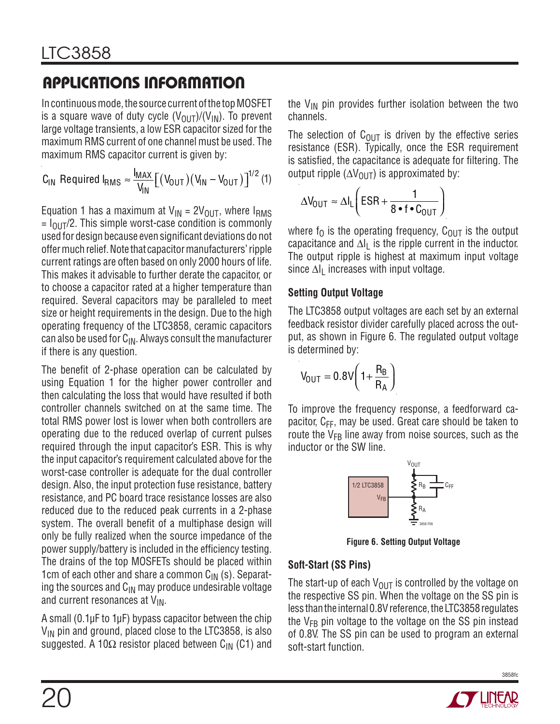In continuous mode, the source current of the top MOSFET is a square wave of duty cycle  $(V_{\text{OUT}})/(V_{\text{IN}})$ . To prevent large voltage transients, a low ESR capacitor sized for the maximum RMS current of one channel must be used. The maximum RMS capacitor current is given by:

$$
C_{IN} \text{ Required I}_{RMS} \approx \frac{I_{MAX}}{V_{IN}} \big[ (V_{OUT}) (V_{IN} - V_{OUT}) \big]^{1/2} (1)
$$

Equation 1 has a maximum at  $V_{IN} = 2V_{OUT}$ , where  $I_{RMS}$  $= I_{\text{OUT}}/2$ . This simple worst-case condition is commonly used for design because even significant deviations do not offer much relief. Note that capacitor manufacturers' ripple current ratings are often based on only 2000 hours of life. This makes it advisable to further derate the capacitor, or to choose a capacitor rated at a higher temperature than required. Several capacitors may be paralleled to meet size or height requirements in the design. Due to the high operating frequency of the LTC3858, ceramic capacitors can also be used for  $C_{IN}$ . Always consult the manufacturer if there is any question.

The benefit of 2-phase operation can be calculated by using Equation 1 for the higher power controller and then calculating the loss that would have resulted if both controller channels switched on at the same time. The total RMS power lost is lower when both controllers are operating due to the reduced overlap of current pulses required through the input capacitor's ESR. This is why the input capacitor's requirement calculated above for the worst-case controller is adequate for the dual controller design. Also, the input protection fuse resistance, battery resistance, and PC board trace resistance losses are also reduced due to the reduced peak currents in a 2-phase system. The overall benefit of a multiphase design will only be fully realized when the source impedance of the power supply/battery is included in the efficiency testing. The drains of the top MOSFETs should be placed within 1cm of each other and share a common  $C_{\text{IN}}$  (s). Separating the sources and  $C_{\text{IN}}$  may produce undesirable voltage and current resonances at  $V_{IN}$ .

A small (0.1μF to 1μF) bypass capacitor between the chip  $V_{IN}$  pin and ground, placed close to the LTC3858, is also suggested. A 10 $\Omega$  resistor placed between C<sub>IN</sub> (C1) and the  $V_{IN}$  pin provides further isolation between the two channels.

The selection of  $C_{\text{OUT}}$  is driven by the effective series resistance (ESR). Typically, once the ESR requirement is satisfied, the capacitance is adequate for filtering. The output ripple ( $\Delta V_{\text{OUT}}$ ) is approximated by:

$$
\Delta V_{\text{OUT}} \approx \Delta I_{L} \left( \text{ESR} + \frac{1}{8 \cdot f \cdot C_{\text{OUT}}} \right)
$$

where  $f_0$  is the operating frequency,  $C_{\text{OUT}}$  is the output capacitance and  $\Delta I_L$  is the ripple current in the inductor. The output ripple is highest at maximum input voltage since  $\Delta I_1$  increases with input voltage.

#### **Setting Output Voltage**

The LTC3858 output voltages are each set by an external feedback resistor divider carefully placed across the output, as shown in Figure 6. The regulated output voltage is determined by:

$$
V_{\text{OUT}} = 0.8V \left(1 + \frac{R_B}{R_A}\right)
$$

To improve the frequency response, a feedforward capacitor,  $C_{FF}$ , may be used. Great care should be taken to route the V<sub>FB</sub> line away from noise sources, such as the inductor or the SW line.



**Figure 6. Setting Output Voltage**

#### **Soft-Start (SS Pins)**

The start-up of each  $V_{OUT}$  is controlled by the voltage on the respective SS pin. When the voltage on the SS pin is less than the internal 0.8V reference, the LTC3858 regulates the  $V_{FB}$  pin voltage to the voltage on the SS pin instead of 0.8V. The SS pin can be used to program an external soft-start function.

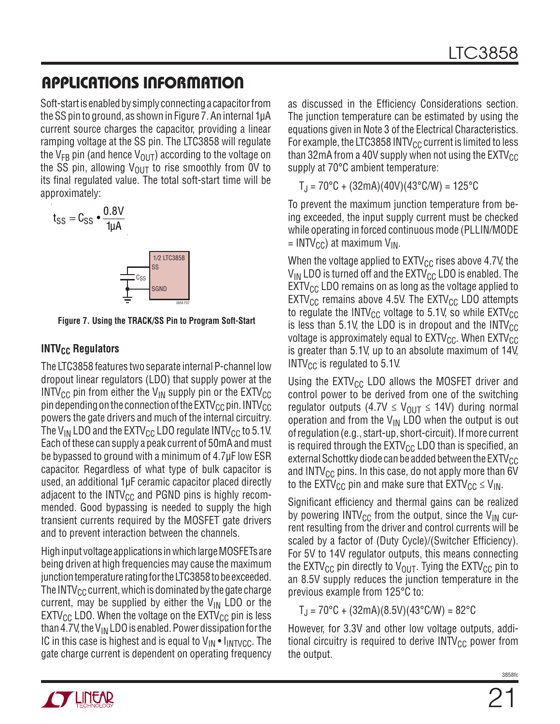Soft-start is enabled by simply connecting a capacitor from the SS pin to ground, as shown in Figure 7. An internal 1μA current source charges the capacitor, providing a linear ramping voltage at the SS pin. The LTC3858 will regulate the V<sub>FB</sub> pin (and hence V<sub>OUT</sub>) according to the voltage on the SS pin, allowing  $V_{\text{OUT}}$  to rise smoothly from 0V to its final regulated value. The total soft-start time will be approximately:

$$
t_{SS} = C_{SS} \cdot \frac{0.8V}{1 \mu A}
$$



**SGND** 

3858 F07

 $\mathsf{c}_{\mathtt{SS}}$ 

#### **INTV<sub>CC</sub> Regulators**

The LTC3858 features two separate internal P-channel low dropout linear regulators (LDO) that supply power at the  $INTV_{CC}$  pin from either the  $V_{IN}$  supply pin or the  $EXTV_{CC}$ pin depending on the connection of the  $\text{EXTV}_{\text{CC}}$  pin. INTV $_{\text{CC}}$ powers the gate drivers and much of the internal circuitry. The V<sub>IN</sub> LDO and the EXTV<sub>CC</sub> LDO regulate INTV<sub>CC</sub> to 5.1V. Each of these can supply a peak current of 50mA and must be bypassed to ground with a minimum of 4.7μF low ESR capacitor. Regardless of what type of bulk capacitor is used, an additional 1μF ceramic capacitor placed directly adjacent to the INTV<sub>CC</sub> and PGND pins is highly recommended. Good bypassing is needed to supply the high transient currents required by the MOSFET gate drivers and to prevent interaction between the channels.

High input voltage applications in which large MOSFETs are being driven at high frequencies may cause the maximum junction temperature rating for the LTC3858 to be exceeded. The INTV<sub>CC</sub> current, which is dominated by the gate charge current, may be supplied by either the  $V_{IN}$  LDO or the  $EXTV_{CC}$  LDO. When the voltage on the  $EXTV_{CC}$  pin is less than 4.7V, the V<sub>IN</sub> LDO is enabled. Power dissipation for the IC in this case is highest and is equal to  $V_{IN} \cdot I_{INTVCC}$ . The gate charge current is dependent on operating frequency as discussed in the Efficiency Considerations section. The junction temperature can be estimated by using the equations given in Note 3 of the Electrical Characteristics. For example, the LTC3858 INTV $_{\rm CC}$  current is limited to less than 32mA from a 40V supply when not using the  $EXTV_{CC}$ supply at 70°C ambient temperature:

 $T_{\rm J}$  = 70°C + (32mA)(40V)(43°C/W) = 125°C

To prevent the maximum junction temperature from being exceeded, the input supply current must be checked while operating in forced continuous mode (PLLIN/MODE  $=$  INTV<sub>CC</sub>) at maximum V<sub>IN</sub>.

When the voltage applied to  $\text{EXTV}_{\text{CC}}$  rises above 4.7V, the  $V_{IN}$  LDO is turned off and the EXTV<sub>CC</sub> LDO is enabled. The  $EXTV_{CC}$  LDO remains on as long as the voltage applied to  $EXTV_{CC}$  remains above 4.5V. The  $EXTV_{CC}$  LDO attempts to regulate the INTV<sub>CC</sub> voltage to 5.1V, so while  $EXTV_{CC}$ is less than 5.1V, the LDO is in dropout and the  $INTV_{CC}$ voltage is approximately equal to  $EXTV_{CC}$ . When  $EXTV_{CC}$ is greater than 5.1V, up to an absolute maximum of 14V, INTV $_{\text{CC}}$  is regulated to 5.1V.

Using the  $EXTV_{CC}$  LDO allows the MOSFET driver and control power to be derived from one of the switching regulator outputs (4.7V  $\leq$  V<sub>OUT</sub>  $\leq$  14V) during normal operation and from the  $V_{IN}$  LDO when the output is out of regulation (e.g., start-up, short-circuit). If more current is required through the  $EXTV_{CC}$  LDO than is specified, an external Schottky diode can be added between the  $EXTV_{CC}$ and INTV $_{\text{CC}}$  pins. In this case, do not apply more than 6V to the EXTV<sub>CC</sub> pin and make sure that  $\text{EXTV}_{\text{CC}} \leq V_{\text{IN}}$ .

Significant efficiency and thermal gains can be realized by powering INTV<sub>CC</sub> from the output, since the V<sub>IN</sub> current resulting from the driver and control currents will be scaled by a factor of (Duty Cycle)/(Switcher Efficiency). For 5V to 14V regulator outputs, this means connecting the EXTV<sub>CC</sub> pin directly to V<sub>OUT</sub>. Tying the EXTV<sub>CC</sub> pin to an 8.5V supply reduces the junction temperature in the previous example from 125°C to:

 $T_J$  = 70°C + (32mA)(8.5V)(43°C/W) = 82°C

However, for 3.3V and other low voltage outputs, additional circuitry is required to derive  $INTV_{CC}$  power from the output.

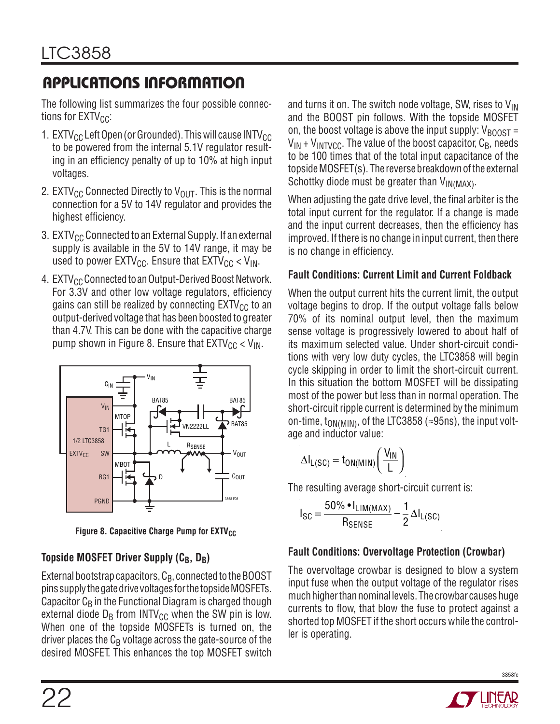The following list summarizes the four possible connections for  $EXTV_{CC}$ :

- 1. EXTV $_{\text{CC}}$  Left Open (or Grounded). This will cause INTV $_{\text{CC}}$ to be powered from the internal 5.1V regulator resulting in an efficiency penalty of up to 10% at high input voltages.
- 2. EXTV<sub>CC</sub> Connected Directly to V<sub>OUT</sub>. This is the normal connection for a 5V to 14V regulator and provides the highest efficiency.
- 3. EXTV<sub>CC</sub> Connected to an External Supply. If an external supply is available in the 5V to 14V range, it may be used to power  $\text{EXTV}_{\text{CC}}$ . Ensure that  $\text{EXTV}_{\text{CC}}$  <  $\text{V}_{\text{IN}}$ .
- 4. EXTV<sub>CC</sub> Connected to an Output-Derived Boost Network. For 3.3V and other low voltage regulators, efficiency gains can still be realized by connecting  $EXTV_{CC}$  to an output-derived voltage that has been boosted to greater than 4.7V. This can be done with the capacitive charge pump shown in Figure 8. Ensure that  $EXTV_{CC}$  <  $V_{IN}$ .



**Figure 8. Capacitive Charge Pump for EXTV<sub>CC</sub>** 

### **Topside MOSFET Driver Supply (CB, DB)**

External bootstrap capacitors,  $C_B$ , connected to the BOOST pins supply the gate drive voltages for the topside MOSFETs. Capacitor  $C_B$  in the Functional Diagram is charged though external diode  $D_B$  from INTV<sub>CC</sub> when the SW pin is low. When one of the topside MOSFETs is turned on, the driver places the  $C_B$  voltage across the gate-source of the desired MOSFET. This enhances the top MOSFET switch

and turns it on. The switch node voltage, SW, rises to  $V_{IN}$ and the BOOST pin follows. With the topside MOSFET on, the boost voltage is above the input supply:  $V_{\text{BODST}} =$  $V_{IN}$  +  $V_{INTVCC}$ . The value of the boost capacitor,  $C_B$ , needs to be 100 times that of the total input capacitance of the topside MOSFET(s). The reverse breakdown of the external Schottky diode must be greater than V<sub>IN(MAX)</sub>.

When adjusting the gate drive level, the final arbiter is the total input current for the regulator. If a change is made and the input current decreases, then the efficiency has improved. If there is no change in input current, then there is no change in efficiency.

#### **Fault Conditions: Current Limit and Current Foldback**

When the output current hits the current limit, the output voltage begins to drop. If the output voltage falls below 70% of its nominal output level, then the maximum sense voltage is progressively lowered to about half of its maximum selected value. Under short-circuit conditions with very low duty cycles, the LTC3858 will begin cycle skipping in order to limit the short-circuit current. In this situation the bottom MOSFET will be dissipating most of the power but less than in normal operation. The short-circuit ripple current is determined by the minimum on-time, t<sub>ON(MIN)</sub>, of the LTC3858 (≈95ns), the input voltage and inductor value:

$$
\Delta I_{L(SC)} = t_{ON(MIN)} \left( \frac{V_{IN}}{L} \right)
$$

The resulting average short-circuit current is:

$$
I_{SC} = \frac{50\% \cdot I_{LIM(MAX)}}{R_{SENSE}} - \frac{1}{2} \Delta I_{L(SC)}
$$

### **Fault Conditions: Overvoltage Protection (Crowbar)**

The overvoltage crowbar is designed to blow a system input fuse when the output voltage of the regulator rises much higher than nominal levels. The crowbar causes huge currents to flow, that blow the fuse to protect against a shorted top MOSFET if the short occurs while the controller is operating.

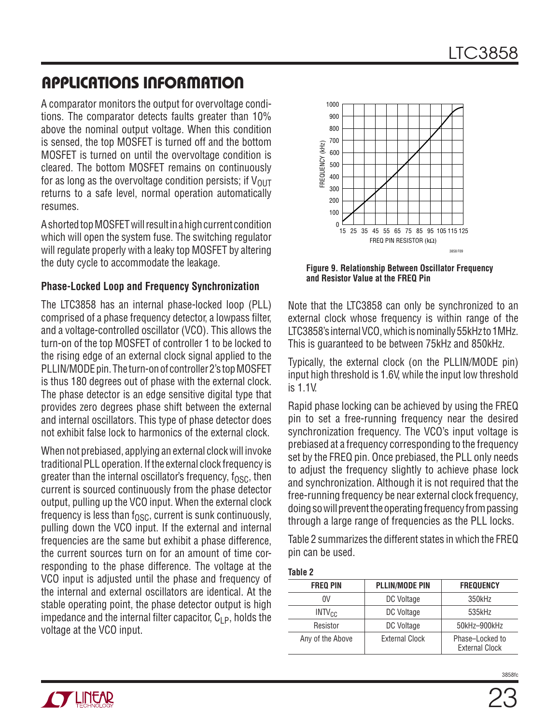A comparator monitors the output for overvoltage conditions. The comparator detects faults greater than 10% above the nominal output voltage. When this condition is sensed, the top MOSFET is turned off and the bottom MOSFET is turned on until the overvoltage condition is cleared. The bottom MOSFET remains on continuously for as long as the overvoltage condition persists; if  $V_{\text{OUT}}$ returns to a safe level, normal operation automatically resumes.

A shorted top MOSFET will result in a high current condition which will open the system fuse. The switching regulator will regulate properly with a leaky top MOSFET by altering the duty cycle to accommodate the leakage.

#### **Phase-Locked Loop and Frequency Synchronization**

The LTC3858 has an internal phase-locked loop (PLL) comprised of a phase frequency detector, a lowpass filter, and a voltage-controlled oscillator (VCO). This allows the turn-on of the top MOSFET of controller 1 to be locked to the rising edge of an external clock signal applied to the PLLIN/MODE pin. The turn-on of controller 2's top MOSFET is thus 180 degrees out of phase with the external clock. The phase detector is an edge sensitive digital type that provides zero degrees phase shift between the external and internal oscillators. This type of phase detector does not exhibit false lock to harmonics of the external clock.

When not prebiased, applying an external clock will invoke traditional PLL operation. If the external clock frequency is greater than the internal oscillator's frequency,  $f_{\rm OSC}$ , then current is sourced continuously from the phase detector output, pulling up the VCO input. When the external clock frequency is less than  $f_{\text{OSC}}$ , current is sunk continuously, pulling down the VCO input. If the external and internal frequencies are the same but exhibit a phase difference, the current sources turn on for an amount of time corresponding to the phase difference. The voltage at the VCO input is adjusted until the phase and frequency of the internal and external oscillators are identical. At the stable operating point, the phase detector output is high impedance and the internal filter capacitor,  $C_{LP}$ , holds the voltage at the VCO input.



**Figure 9. Relationship Between Oscillator Frequency and Resistor Value at the FREQ Pin**

Note that the LTC3858 can only be synchronized to an external clock whose frequency is within range of the LTC3858's internal VCO, which is nominally 55kHz to 1MHz. This is guaranteed to be between 75kHz and 850kHz.

Typically, the external clock (on the PLLIN/MODE pin) input high threshold is 1.6V, while the input low threshold is 1.1V.

Rapid phase locking can be achieved by using the FREQ pin to set a free-running frequency near the desired synchronization frequency. The VCO's input voltage is prebiased at a frequency corresponding to the frequency set by the FREQ pin. Once prebiased, the PLL only needs to adjust the frequency slightly to achieve phase lock and synchronization. Although it is not required that the free-running frequency be near external clock frequency, doing so will prevent the operating frequency from passing through a large range of frequencies as the PLL locks.

Table 2 summarizes the different states in which the FREQ pin can be used.

| . .<br>×<br>۰.<br>۰. |
|----------------------|
|----------------------|

| <b>FREQ PIN</b>  | <b>PLLIN/MODE PIN</b> | <b>FREQUENCY</b>                         |
|------------------|-----------------------|------------------------------------------|
| 0V               | DC Voltage            | 350kHz                                   |
| $INTV_{CC}$      | DC Voltage            | 535kHz                                   |
| Resistor         | DC Voltage            | 50kHz-900kHz                             |
| Any of the Above | External Clock        | Phase-Locked to<br><b>External Clock</b> |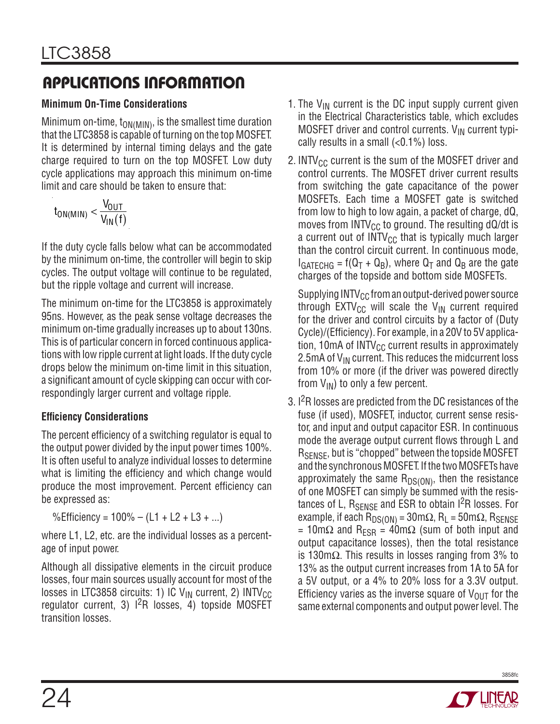#### **Minimum On-Time Considerations**

Minimum on-time,  $t_{\text{ON(MIN)}}$ , is the smallest time duration that the LTC3858 is capable of turning on the top MOSFET. It is determined by internal timing delays and the gate charge required to turn on the top MOSFET. Low duty cycle applications may approach this minimum on-time limit and care should be taken to ensure that:

$$
t_{ON(MIN)} < \frac{V_{OUT}}{V_{IN}(f)}
$$

If the duty cycle falls below what can be accommodated by the minimum on-time, the controller will begin to skip cycles. The output voltage will continue to be regulated, but the ripple voltage and current will increase.

The minimum on-time for the LTC3858 is approximately 95ns. However, as the peak sense voltage decreases the minimum on-time gradually increases up to about 130ns. This is of particular concern in forced continuous applications with low ripple current at light loads. If the duty cycle drops below the minimum on-time limit in this situation, a significant amount of cycle skipping can occur with correspondingly larger current and voltage ripple.

#### **Effi ciency Considerations**

The percent efficiency of a switching regulator is equal to the output power divided by the input power times 100%. It is often useful to analyze individual losses to determine what is limiting the efficiency and which change would produce the most improvement. Percent efficiency can be expressed as:

%Efficiency =  $100\% - (L1 + L2 + L3 + ...)$ 

where L1, L2, etc. are the individual losses as a percentage of input power.

Although all dissipative elements in the circuit produce losses, four main sources usually account for most of the losses in LTC3858 circuits: 1) IC  $V_{IN}$  current, 2) INTV<sub>CC</sub> regulator current, 3)  $1^{2}R$  losses, 4) topside MOSFET transition losses.

- 1. The  $V_{IN}$  current is the DC input supply current given in the Electrical Characteristics table, which excludes MOSFET driver and control currents.  $V_{IN}$  current typically results in a small  $( $0.1\%$ ) loss.$
- 2. INTV $_{\text{CC}}$  current is the sum of the MOSFET driver and control currents. The MOSFET driver current results from switching the gate capacitance of the power MOSFETs. Each time a MOSFET gate is switched from low to high to low again, a packet of charge, dQ, moves from INTV $_{\text{CC}}$  to ground. The resulting dQ/dt is a current out of  $INTV_{CC}$  that is typically much larger than the control circuit current. In continuous mode,  $I_{GATECHG}$  = f(Q<sub>T</sub> + Q<sub>B</sub>), where Q<sub>T</sub> and Q<sub>B</sub> are the gate charges of the topside and bottom side MOSFETs.

Supplying  $INTV_{CC}$  from an output-derived power source through  $EXTV_{CC}$  will scale the  $V_{IN}$  current required for the driver and control circuits by a factor of (Duty Cycle)/(Efficiency). For example, in a 20V to 5V application, 10mA of INTV $_{\text{CC}}$  current results in approximately 2.5mA of  $V_{IN}$  current. This reduces the midcurrent loss from 10% or more (if the driver was powered directly from  $V_{IN}$ ) to only a few percent.

3. I2R losses are predicted from the DC resistances of the fuse (if used), MOSFET, inductor, current sense resistor, and input and output capacitor ESR. In continuous mode the average output current flows through L and R<sub>SENSE</sub>, but is "chopped" between the topside MOSFET and the synchronous MOSFET. If the two MOSFETs have approximately the same  $R_{DS(ON)}$ , then the resistance of one MOSFET can simply be summed with the resistances of L,  $R_{\text{SFNSF}}$  and ESR to obtain  $1^{2}R$  losses. For example, if each R<sub>DS(ON)</sub> = 30m $\Omega$ , R<sub>L</sub> = 50m $\Omega$ , R<sub>SENSE</sub> = 10mΩ and R<sub>ESR</sub> = 40mΩ (sum of both input and output capacitance losses), then the total resistance is 130m $\Omega$ . This results in losses ranging from 3% to 13% as the output current increases from 1A to 5A for a 5V output, or a 4% to 20% loss for a 3.3V output. Efficiency varies as the inverse square of  $V_{\text{OUT}}$  for the same external components and output power level. The

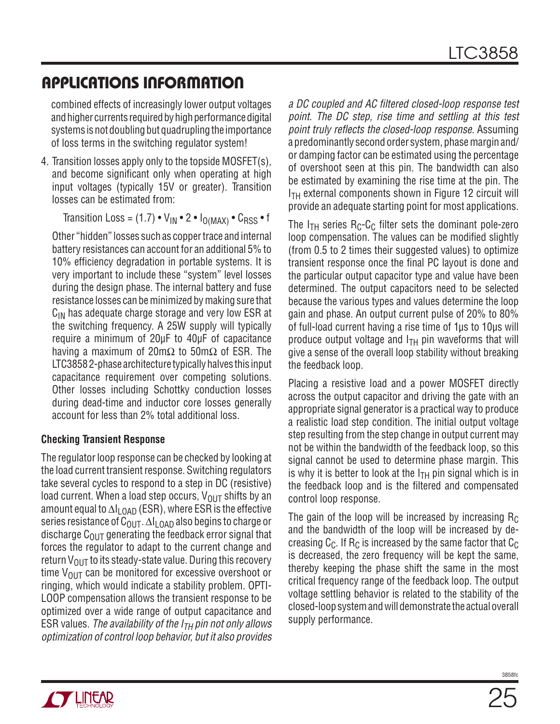combined effects of increasingly lower output voltages and higher currents required by high performance digital systems is not doubling but quadrupling the importance of loss terms in the switching regulator system!

4. Transition losses apply only to the topside MOSFET(s), and become significant only when operating at high input voltages (typically 15V or greater). Transition losses can be estimated from:

Transition Loss = (1.7) •  $V_{IN}$  • 2 •  $I_{O(MAX)}$  •  $C_{RSS}$  • f

 Other "hidden" losses such as copper trace and internal battery resistances can account for an additional 5% to 10% efficiency degradation in portable systems. It is very important to include these "system" level losses during the design phase. The internal battery and fuse resistance losses can be minimized by making sure that  $C_{IN}$  has adequate charge storage and very low ESR at the switching frequency. A 25W supply will typically require a minimum of 20μF to 40μF of capacitance having a maximum of 20m $\Omega$  to 50m $\Omega$  of ESR. The LTC3858 2-phase architecture typically halves this input capacitance requirement over competing solutions. Other losses including Schottky conduction losses during dead-time and inductor core losses generally account for less than 2% total additional loss.

#### **Checking Transient Response**

The regulator loop response can be checked by looking at the load current transient response. Switching regulators take several cycles to respond to a step in DC (resistive) load current. When a load step occurs,  $V_{\text{OUT}}$  shifts by an amount equal to  $\Delta I_{\text{LOAD}}$  (ESR), where ESR is the effective series resistance of C<sub>OUT</sub>.  $\Delta I_{\text{LOAD}}$  also begins to charge or discharge  $C<sub>OMT</sub>$  generating the feedback error signal that forces the regulator to adapt to the current change and return  $V_{OUT}$  to its steady-state value. During this recovery time  $V_{\text{OUT}}$  can be monitored for excessive overshoot or ringing, which would indicate a stability problem. OPTI-LOOP compensation allows the transient response to be optimized over a wide range of output capacitance and ESR values. The availability of the  $I_{TH}$  pin not only allows optimization of control loop behavior, but it also provides

a DC coupled and AC filtered closed-loop response test point. The DC step, rise time and settling at this test point truly reflects the closed-loop response. Assuming a predominantly second order system, phase margin and/ or damping factor can be estimated using the percentage of overshoot seen at this pin. The bandwidth can also be estimated by examining the rise time at the pin. The  $I<sub>TH</sub>$  external components shown in Figure 12 circuit will provide an adequate starting point for most applications.

The  $I_{TH}$  series  $R_C-C_C$  filter sets the dominant pole-zero loop compensation. The values can be modified slightly (from 0.5 to 2 times their suggested values) to optimize transient response once the final PC layout is done and the particular output capacitor type and value have been determined. The output capacitors need to be selected because the various types and values determine the loop gain and phase. An output current pulse of 20% to 80% of full-load current having a rise time of 1μs to 10μs will produce output voltage and  $I<sub>TH</sub>$  pin waveforms that will give a sense of the overall loop stability without breaking the feedback loop.

Placing a resistive load and a power MOSFET directly across the output capacitor and driving the gate with an appropriate signal generator is a practical way to produce a realistic load step condition. The initial output voltage step resulting from the step change in output current may not be within the bandwidth of the feedback loop, so this signal cannot be used to determine phase margin. This is why it is better to look at the  $I_{TH}$  pin signal which is in the feedback loop and is the filtered and compensated control loop response.

The gain of the loop will be increased by increasing  $R_C$ and the bandwidth of the loop will be increased by decreasing C<sub>C</sub>. If R<sub>C</sub> is increased by the same factor that C<sub>C</sub> is decreased, the zero frequency will be kept the same, thereby keeping the phase shift the same in the most critical frequency range of the feedback loop. The output voltage settling behavior is related to the stability of the closed-loop system and will demonstrate the actual overall supply performance.

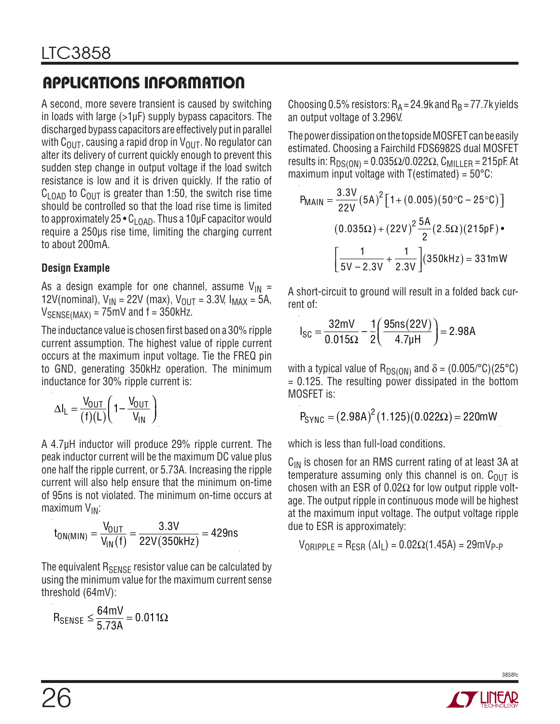A second, more severe transient is caused by switching in loads with large  $(>1\mu$ F) supply bypass capacitors. The discharged bypass capacitors are effectively put in parallel with  $C_{\text{OUT}}$ , causing a rapid drop in  $V_{\text{OUT}}$ . No regulator can alter its delivery of current quickly enough to prevent this sudden step change in output voltage if the load switch resistance is low and it is driven quickly. If the ratio of  $C_{\text{LOAD}}$  to  $C_{\text{OUT}}$  is greater than 1:50, the switch rise time should be controlled so that the load rise time is limited to approximately 25  $\cdot$  C<sub>LOAD</sub>. Thus a 10µF capacitor would require a 250μs rise time, limiting the charging current to about 200mA.

#### **Design Example**

As a design example for one channel, assume  $V_{IN}$  = 12V(nominal),  $V_{IN} = 22V$  (max),  $V_{OUT} = 3.3V$ ,  $I_{MAX} = 5A$ ,  $V_{SENSE(MAX)} = 75$ mV and  $f = 350$ kHz.

The inductance value is chosen first based on a 30% ripple current assumption. The highest value of ripple current occurs at the maximum input voltage. Tie the FREQ pin to GND, generating 350kHz operation. The minimum inductance for 30% ripple current is:

$$
\Delta I_{L} = \frac{V_{OUT}}{(f)(L)} \left( 1 - \frac{V_{OUT}}{V_{IN}} \right)
$$

A 4.7μH inductor will produce 29% ripple current. The peak inductor current will be the maximum DC value plus one half the ripple current, or 5.73A. Increasing the ripple current will also help ensure that the minimum on-time of 95ns is not violated. The minimum on-time occurs at maximum V<sub>IN</sub>:

 $t_{\mathsf{ON}(\mathsf{MIN})} = \frac{\mathsf{V_{OUT}}}{\mathsf{V_{IN}}(\mathsf{f})} = \frac{3.3 \mathsf{V}}{22 \mathsf{V}(350 \mathsf{k} \mathsf{Hz})} = 429 \mathsf{ns}$ 

The equivalent R<sub>SENSE</sub> resistor value can be calculated by using the minimum value for the maximum current sense threshold (64mV):

$$
R_{SENSE} \leq \frac{64mV}{5.73A} = 0.011\Omega
$$

Choosing 0.5% resistors:  $R_A = 24.9$ k and  $R_B = 77.7$ k yields an output voltage of 3.296V.

The power dissipation on the topside MOSFET can be easily estimated. Choosing a Fairchild FDS6982S dual MOSFET results in: R<sub>DS(ON)</sub> = 0.035 $\Omega/0.022\Omega$ , C<sub>MILLER</sub> = 215pF. At maximum input voltage with  $T(estimated) = 50^{\circ}C$ :

$$
P_{\text{MAIN}} = \frac{3.3 \text{V}}{22 \text{V}} (5 \text{A})^2 [1 + (0.005)(50 \degree \text{C} - 25 \degree \text{C})]
$$
  

$$
(0.035 \Omega) + (22 \text{V})^2 \frac{5 \text{A}}{2} (2.5 \Omega) (215 \text{pF}) \bullet
$$
  

$$
\left[ \frac{1}{5 \text{V} - 2.3 \text{V}} + \frac{1}{2.3 \text{V}} \right] (350 \text{kHz}) = 331 \text{mW}
$$

A short-circuit to ground will result in a folded back current of:

$$
I_{SC} = \frac{32mV}{0.015\Omega} - \frac{1}{2} \left( \frac{95ns(22V)}{4.7\mu H} \right) = 2.98A
$$

with a typical value of R<sub>DS(ON)</sub> and  $\delta = (0.005\degree \text{C})(25\degree \text{C})$ = 0.125. The resulting power dissipated in the bottom MOSFET is:

$$
P_{SYNC} = (2.98A)^2 (1.125)(0.022\Omega) = 220mW
$$

which is less than full-load conditions.

 $C_{IN}$  is chosen for an RMS current rating of at least 3A at temperature assuming only this channel is on.  $C_{\text{OUT}}$  is chosen with an ESR of  $0.02\Omega$  for low output ripple voltage. The output ripple in continuous mode will be highest at the maximum input voltage. The output voltage ripple due to ESR is approximately:

 $V_{\text{ORIPPI F}} = R_{\text{FSR}} (\Delta I_L) = 0.02 \Omega (1.45A) = 29 \text{mV}_{\text{P-P}}$ 

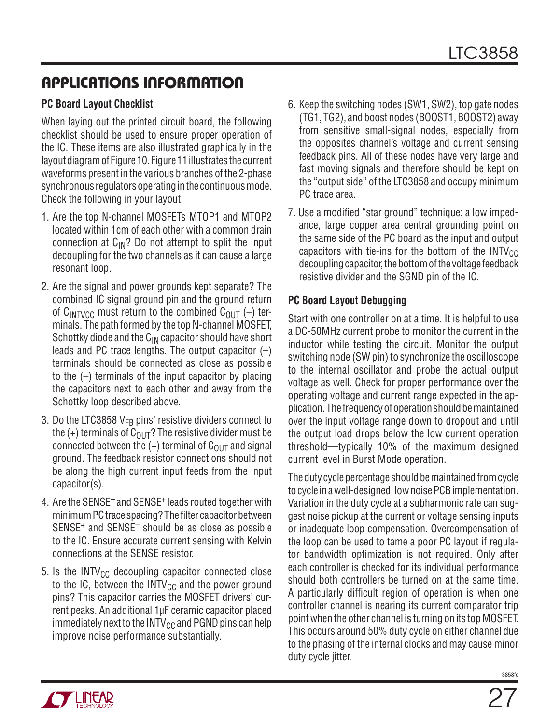#### **PC Board Layout Checklist**

When laying out the printed circuit board, the following checklist should be used to ensure proper operation of the IC. These items are also illustrated graphically in the layout diagram of Figure 10. Figure 11 illustrates the current waveforms present in the various branches of the 2-phase synchronous regulators operating in the continuous mode. Check the following in your layout:

- 1. Are the top N-channel MOSFETs MTOP1 and MTOP2 located within 1cm of each other with a common drain connection at  $C_{IN}$ ? Do not attempt to split the input decoupling for the two channels as it can cause a large resonant loop.
- 2. Are the signal and power grounds kept separate? The combined IC signal ground pin and the ground return of  $C_{\text{INTVCC}}$  must return to the combined  $C_{\text{OUT}}$  (-) terminals. The path formed by the top N-channel MOSFET, Schottky diode and the  $C_{IN}$  capacitor should have short leads and PC trace lengths. The output capacitor  $(-)$ terminals should be connected as close as possible to the (–) terminals of the input capacitor by placing the capacitors next to each other and away from the Schottky loop described above.
- 3. Do the LTC3858  $V_{FB}$  pins' resistive dividers connect to the  $(+)$  terminals of  $C_{\text{OUT}}$ ? The resistive divider must be connected between the  $(+)$  terminal of  $C_{\Omega I}$  and signal ground. The feedback resistor connections should not be along the high current input feeds from the input capacitor(s).
- 4. Are the SENSE– and SENSE+ leads routed together with minimum PC trace spacing? The filter capacitor between SENSE+ and SENSE– should be as close as possible to the IC. Ensure accurate current sensing with Kelvin connections at the SENSE resistor.
- 5. Is the INTV $_{\text{CC}}$  decoupling capacitor connected close to the IC, between the  $INTV_{CC}$  and the power ground pins? This capacitor carries the MOSFET drivers' current peaks. An additional 1μF ceramic capacitor placed immediately next to the  $INTV_{CC}$  and PGND pins can help improve noise performance substantially.
- 6. Keep the switching nodes (SW1, SW2), top gate nodes (TG1, TG2), and boost nodes (BOOST1, BOOST2) away from sensitive small-signal nodes, especially from the opposites channel's voltage and current sensing feedback pins. All of these nodes have very large and fast moving signals and therefore should be kept on the "output side" of the LTC3858 and occupy minimum PC trace area.
- 7. Use a modified "star ground" technique: a low impedance, large copper area central grounding point on the same side of the PC board as the input and output capacitors with tie-ins for the bottom of the  $INTV_{CC}$ decoupling capacitor, the bottom of the voltage feedback resistive divider and the SGND pin of the IC.

#### **PC Board Layout Debugging**

Start with one controller on at a time. It is helpful to use a DC-50MHz current probe to monitor the current in the inductor while testing the circuit. Monitor the output switching node (SW pin) to synchronize the oscilloscope to the internal oscillator and probe the actual output voltage as well. Check for proper performance over the operating voltage and current range expected in the application. The frequency of operation should be maintained over the input voltage range down to dropout and until the output load drops below the low current operation threshold—typically 10% of the maximum designed current level in Burst Mode operation.

The duty cycle percentage should be maintained from cycle to cycle in a well-designed, low noise PCB implementation. Variation in the duty cycle at a subharmonic rate can suggest noise pickup at the current or voltage sensing inputs or inadequate loop compensation. Overcompensation of the loop can be used to tame a poor PC layout if regulator bandwidth optimization is not required. Only after each controller is checked for its individual performance should both controllers be turned on at the same time. A particularly difficult region of operation is when one controller channel is nearing its current comparator trip point when the other channel is turning on its top MOSFET. This occurs around 50% duty cycle on either channel due to the phasing of the internal clocks and may cause minor duty cycle jitter.

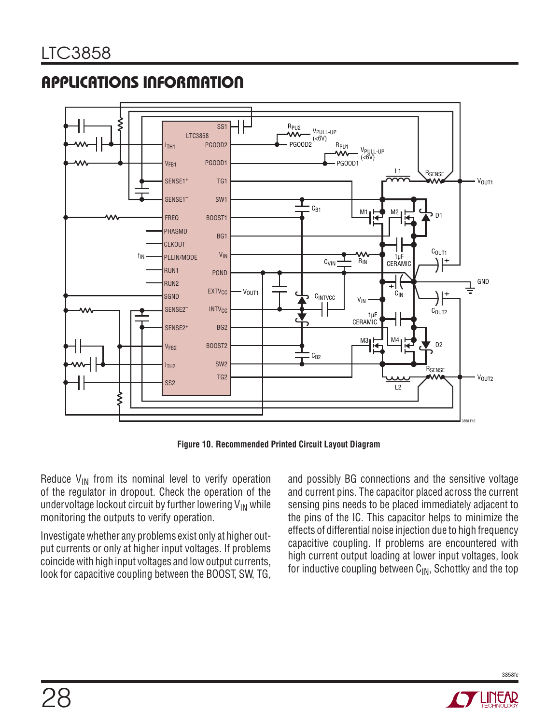



**Figure 10. Recommended Printed Circuit Layout Diagram**

Reduce  $V_{IN}$  from its nominal level to verify operation of the regulator in dropout. Check the operation of the undervoltage lockout circuit by further lowering  $V_{IN}$  while monitoring the outputs to verify operation.

Investigate whether any problems exist only at higher output currents or only at higher input voltages. If problems coincide with high input voltages and low output currents, look for capacitive coupling between the BOOST, SW, TG,

and possibly BG connections and the sensitive voltage and current pins. The capacitor placed across the current sensing pins needs to be placed immediately adjacent to the pins of the IC. This capacitor helps to minimize the effects of differential noise injection due to high frequency capacitive coupling. If problems are encountered with high current output loading at lower input voltages, look for inductive coupling between  $C_{\text{IN}}$ , Schottky and the top

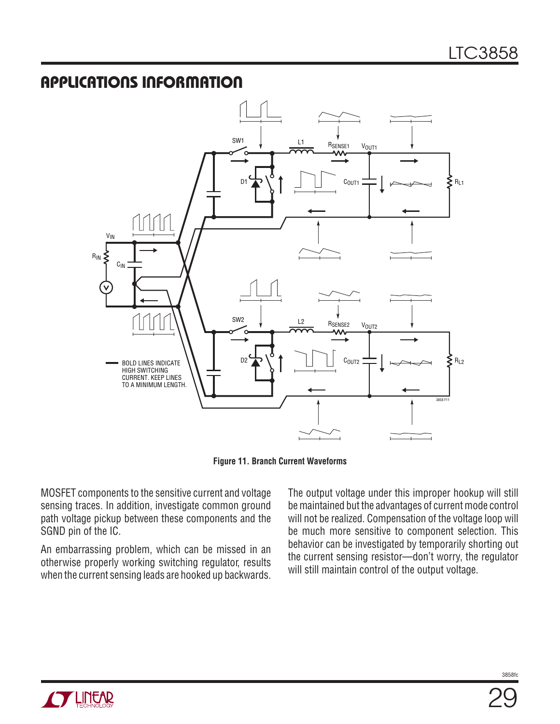

**Figure 11. Branch Current Waveforms**

MOSFET components to the sensitive current and voltage sensing traces. In addition, investigate common ground path voltage pickup between these components and the SGND pin of the IC.

An embarrassing problem, which can be missed in an otherwise properly working switching regulator, results when the current sensing leads are hooked up backwards.

The output voltage under this improper hookup will still be maintained but the advantages of current mode control will not be realized. Compensation of the voltage loop will be much more sensitive to component selection. This behavior can be investigated by temporarily shorting out the current sensing resistor—don't worry, the regulator will still maintain control of the output voltage.



29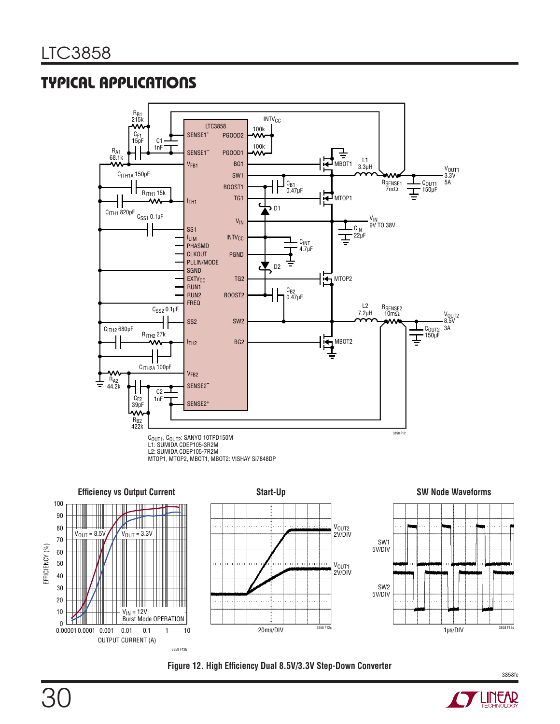





3858fc

EFFICIENCY (%)

90 100

> > OUTPUT CURRENT (A)

3858 F12b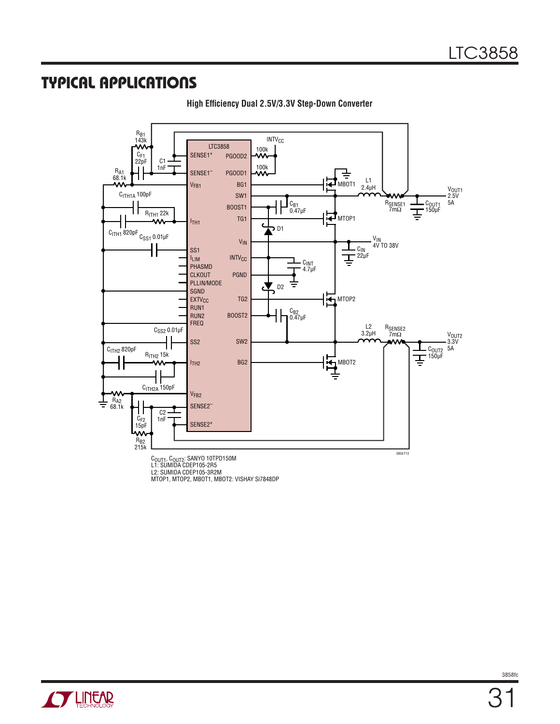

**High Efficiency Dual 2.5V/3.3V Step-Down Converter** 

C<sub>OUT1</sub>, C<sub>OUT2</sub>: SANYO 10TPD150M<br>L1: SUMIDA CDEP105-2R5<br>L2: SUMIDA CDEP105-3R2M<br>MTOP1, MTOP2, MBOT1, MBOT2: VISHAY Si7848DP

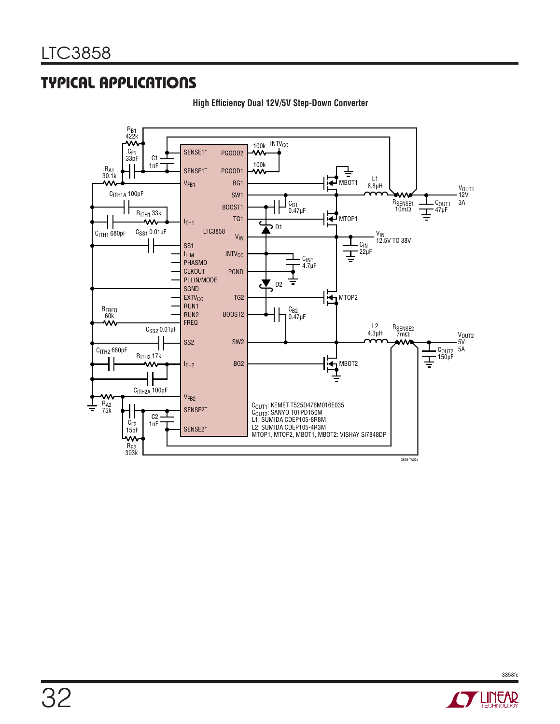

**High Efficiency Dual 12V/5V Step-Down Converter** 

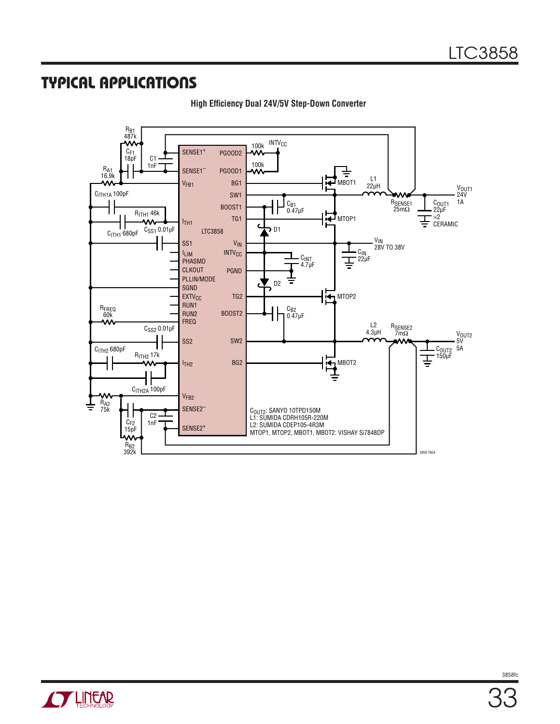

**High Efficiency Dual 24V/5V Step-Down Converter**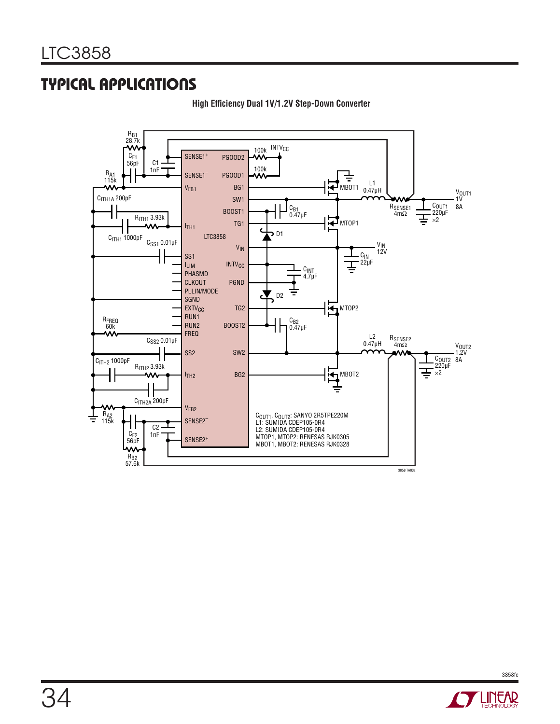

**High Efficiency Dual 1V/1.2V Step-Down Converter** 

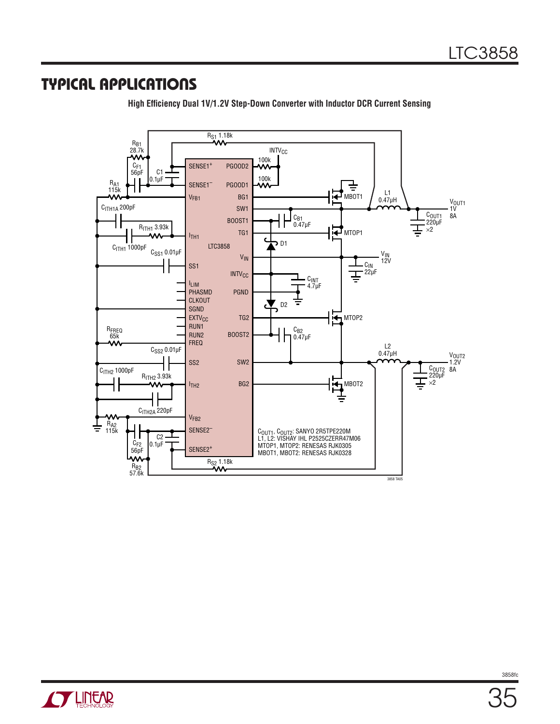

High Efficiency Dual 1V/1.2V Step-Down Converter with Inductor DCR Current Sensing

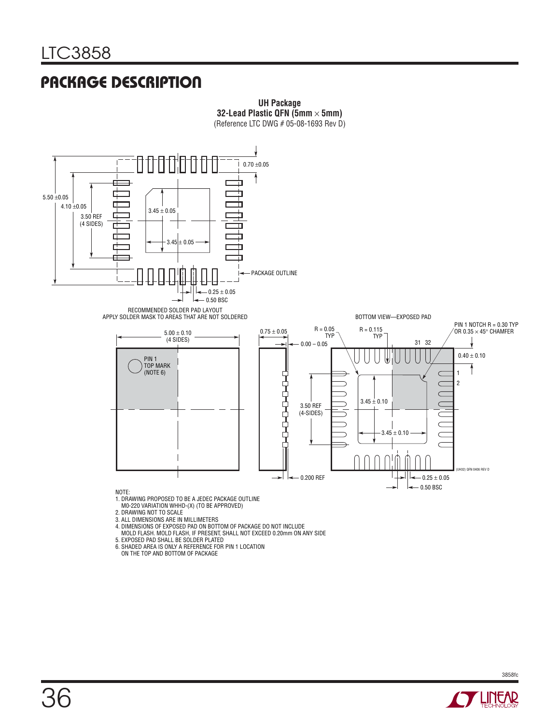### **PACKAGE DESCRIPTION**



**UH Package**

- 
- 3. ALL DIMENSIONS ARE IN MILLIMETERS
- 4. DIMENSIONS OF EXPOSED PAD ON BOTTOM OF PACKAGE DO NOT INCLUDE
- MOLD FLASH. MOLD FLASH, IF PRESENT, SHALL NOT EXCEED 0.20mm ON ANY SIDE
- 5. EXPOSED PAD SHALL BE SOLDER PLATED 6. SHADED AREA IS ONLY A REFERENCE FOR PIN 1 LOCATION ON THE TOP AND BOTTOM OF PACKAGE
- 



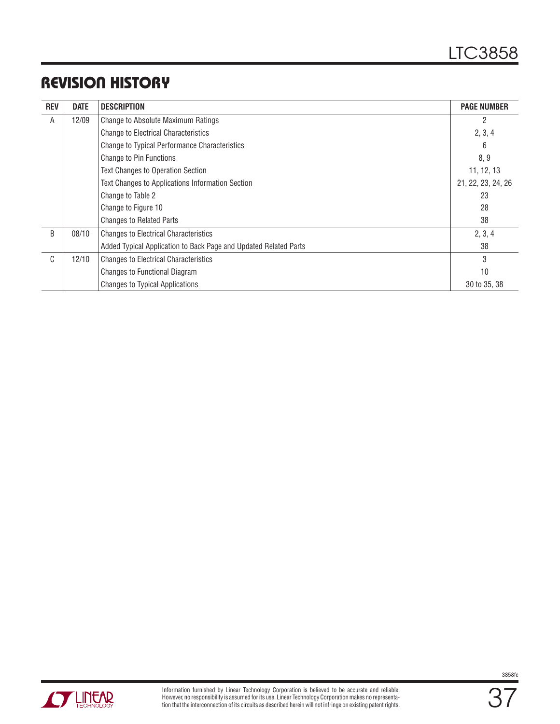# **REVISION HISTORY**

| <b>REV</b>   | <b>DATE</b> | <b>DESCRIPTION</b>                                                     | <b>PAGE NUMBER</b> |
|--------------|-------------|------------------------------------------------------------------------|--------------------|
| A            | 12/09       | Change to Absolute Maximum Ratings                                     | 2                  |
|              |             | <b>Change to Electrical Characteristics</b>                            | 2, 3, 4            |
|              |             | Change to Typical Performance Characteristics                          | 6                  |
|              |             | Change to Pin Functions                                                | 8, 9               |
|              |             | Text Changes to Operation Section                                      | 11, 12, 13         |
|              |             | Text Changes to Applications Information Section<br>21, 22, 23, 24, 26 |                    |
|              |             | Change to Table 2                                                      | 23                 |
|              |             | 28<br>Change to Figure 10                                              |                    |
|              |             | <b>Changes to Related Parts</b>                                        | 38                 |
| <sub>B</sub> | 08/10       | <b>Changes to Electrical Characteristics</b>                           | 2, 3, 4            |
|              |             | Added Typical Application to Back Page and Updated Related Parts       | 38                 |
| $\mathsf{C}$ | 12/10       | <b>Changes to Electrical Characteristics</b>                           | 3                  |
|              |             | Changes to Functional Diagram                                          | 10                 |
|              |             | <b>Changes to Typical Applications</b>                                 | 30 to 35, 38       |